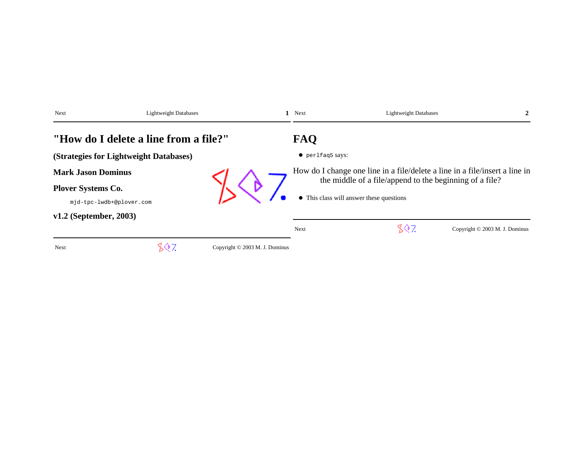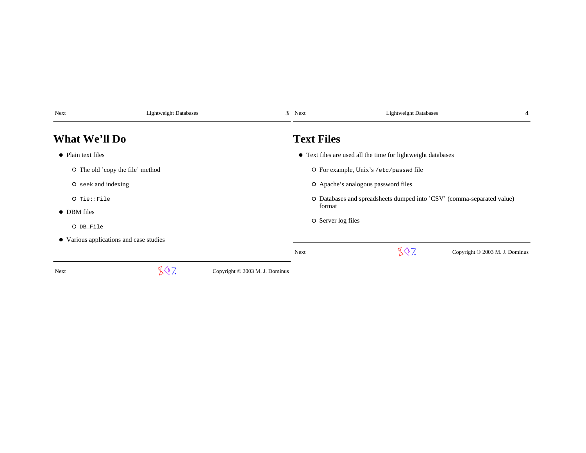| Next                                    | <b>Lightweight Databases</b> |                                | 3 Next             | <b>Lightweight Databases</b>                                           | 4 |
|-----------------------------------------|------------------------------|--------------------------------|--------------------|------------------------------------------------------------------------|---|
| <b>What We'll Do</b>                    |                              |                                | <b>Text Files</b>  |                                                                        |   |
| • Plain text files                      |                              |                                |                    | • Text files are used all the time for lightweight databases           |   |
| O The old 'copy the file' method        |                              |                                |                    | O For example, Unix's /etc/passwd file                                 |   |
| O seek and indexing                     |                              |                                |                    | O Apache's analogous password files                                    |   |
| $O$ Tie:: File<br>• DBM files           |                              |                                | format             | O Databases and spreadsheets dumped into 'CSV' (comma-separated value) |   |
| O DB_File                               |                              |                                | O Server log files |                                                                        |   |
| • Various applications and case studies |                              |                                |                    |                                                                        |   |
|                                         |                              |                                | Next               | 807<br>Copyright © 2003 M. J. Dominus                                  |   |
| Next                                    | 807.                         | Copyright © 2003 M. J. Dominus |                    |                                                                        |   |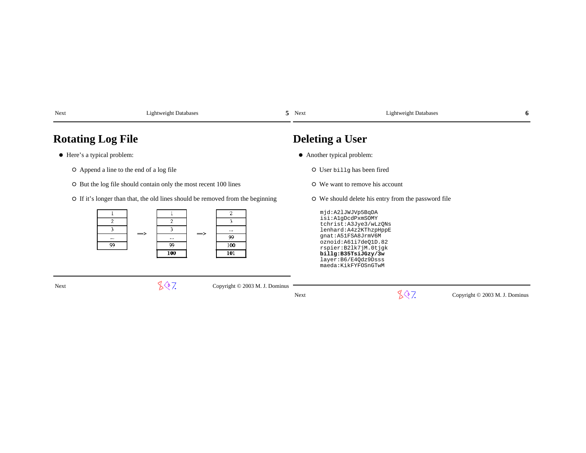| Next                                   | <b>Lightweight Databases</b>                                                   | 5.                                     | Next                       | <b>Lightweight Databases</b>                                                                                                                                                                                                           | 6                              |
|----------------------------------------|--------------------------------------------------------------------------------|----------------------------------------|----------------------------|----------------------------------------------------------------------------------------------------------------------------------------------------------------------------------------------------------------------------------------|--------------------------------|
| <b>Rotating Log File</b>               |                                                                                |                                        | <b>Deleting a User</b>     |                                                                                                                                                                                                                                        |                                |
| • Here's a typical problem:            |                                                                                |                                        | • Another typical problem: |                                                                                                                                                                                                                                        |                                |
|                                        | O Append a line to the end of a log file                                       |                                        |                            | O User billg has been fired                                                                                                                                                                                                            |                                |
|                                        | O But the log file should contain only the most recent 100 lines               |                                        |                            | O We want to remove his account                                                                                                                                                                                                        |                                |
|                                        | O If it's longer than that, the old lines should be removed from the beginning |                                        |                            | O We should delete his entry from the password file                                                                                                                                                                                    |                                |
| $\overline{c}$<br>3.<br>$\cdots$<br>99 | $\overline{c}$<br>3<br>$\Rightarrow$<br>$\Rightarrow$<br>1.11<br>99<br>100     | 2<br>3<br>$\cdots$<br>99<br>100<br>101 |                            | mjd:A21JWJVp5BqDA<br>isi:AlgDcdPxmSOMY<br>tchrist: A3Jye3/wLzQNs<br>lenhard: A4z2KThzpHppE<br>qnat:A51FSA8JrmV6M<br>oznoid:A61i7deO1D.82<br>rspier:B21k7jM.0tjgk<br>billg:B35TsiJGzy/3w<br>layer: B6/E40dz9Dsss<br>maeda:KikFYFOSnGTwM |                                |
| Next                                   | 807                                                                            | Copyright © 2003 M. J. Dominus         | Next                       | 807                                                                                                                                                                                                                                    | Copyright © 2003 M. J. Dominus |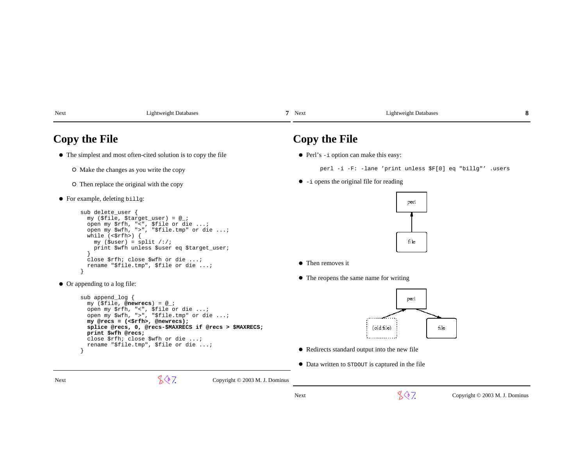| Next | .19htwe19ht<br>Databases<br>. . | <b>Next</b> | Database<br>aghtweight I |  |
|------|---------------------------------|-------------|--------------------------|--|
|      |                                 |             |                          |  |

## **Copy the File**

- The simplest and most often-cited solution is to copy the file
	- O Make the changes as you write the copy
	- $\circ$  Then replace the original with the copy
- For example, deleting billg:

```
sub delete user {

 my ($file, $target_user) = @_;
 open my $rfh, "<", $file or die ...;
 open my $wfh, ">", "$file.tmp" or die ...;while (\leq rfh) {

 my ($user) = split /:/;
 print $wfh unless $user eq $target_user; }
 close $rfh; close $wfh or die ...;
 rename "$file.tmp", $file or die ...;
```
Or appending to a log file:

```
 sub append_log {
 my ($file, @newrecs) = @_;
 open my $rfh, "<", $file or die ...;
 open my $wfh, ">", "$file.tmp" or die ...; my @recs = (<$rfh>, @newrecs);
 splice @recs, 0, @recs-$MAXRECS if @recs > $MAXRECS; print $wfh @recs;
 close $rfh; close $wfh or die ...;
 rename "$file.tmp", $file or die ...; }
```
# **Copy the File**

• Perl's -i option can make this easy:

perl -i -F: -lane 'print unless \$F[0] eq "billg"' .users

 $\bullet$  -i opens the original file for reading



- Then removes it
- The reopens the same name for writing



- Redirects standard output into the new file
- Data written to STDOUT is captured in the file

}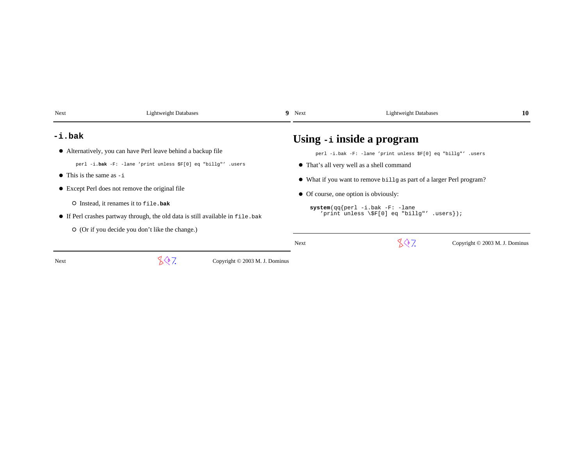| Next<br><b>Lightweight Databases</b>                                            | 9                              | Next                                                                                    | <b>Lightweight Databases</b>                                         | 10                                   |
|---------------------------------------------------------------------------------|--------------------------------|-----------------------------------------------------------------------------------------|----------------------------------------------------------------------|--------------------------------------|
| $-i$ .bak                                                                       |                                |                                                                                         | Using -i inside a program                                            |                                      |
| • Alternatively, you can have Perl leave behind a backup file                   |                                |                                                                                         | perl -i.bak -F: -lane 'print unless \$F[0] eq "billg"' .users        |                                      |
| perl -i.bak -F: -lane 'print unless \$F[0] eq "billg"' .users                   |                                |                                                                                         | • That's all very well as a shell command                            |                                      |
| $\bullet$ This is the same as $-i$                                              |                                |                                                                                         | • What if you want to remove billg as part of a larger Perl program? |                                      |
| • Except Perl does not remove the original file                                 |                                |                                                                                         | • Of course, one option is obviously:                                |                                      |
| O Instead, it renames it to file.bak                                            |                                |                                                                                         |                                                                      |                                      |
| • If Perl crashes partway through, the old data is still available in file. bak |                                | $system(qq\{perl -i \cdot bak -F: -lane$<br>'print unless $\S[0]$ eq "billg"' .users}); |                                                                      |                                      |
| $\circ$ (Or if you decide you don't like the change.)                           |                                |                                                                                         |                                                                      |                                      |
|                                                                                 |                                | <b>Next</b>                                                                             | 807                                                                  | Copyright $\odot$ 2003 M. J. Dominus |
| 507.<br>Next                                                                    | Copyright © 2003 M. J. Dominus |                                                                                         |                                                                      |                                      |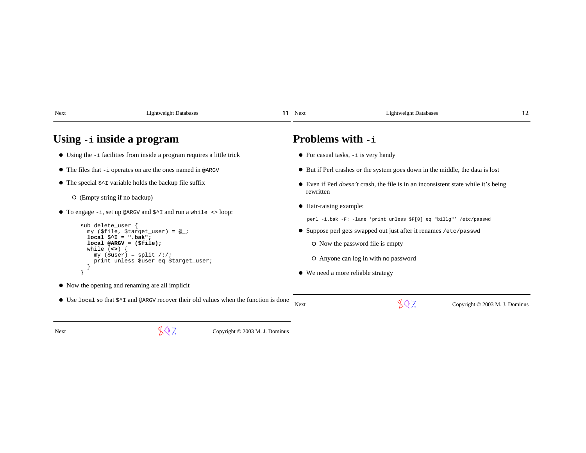| Next                                | <b>Lightweight Databases</b>                                                                                                                                                                                                                                                                         | 11 Next                 | <b>Lightweight Databases</b>                                                                                                                                                                                                                              | 12                             |
|-------------------------------------|------------------------------------------------------------------------------------------------------------------------------------------------------------------------------------------------------------------------------------------------------------------------------------------------------|-------------------------|-----------------------------------------------------------------------------------------------------------------------------------------------------------------------------------------------------------------------------------------------------------|--------------------------------|
|                                     | Using -i inside a program                                                                                                                                                                                                                                                                            | <b>Problems with -i</b> |                                                                                                                                                                                                                                                           |                                |
|                                     | • Using the -i facilities from inside a program requires a little trick                                                                                                                                                                                                                              |                         | $\bullet$ For casual tasks, $-i$ is very handy                                                                                                                                                                                                            |                                |
|                                     | $\bullet$ The files that $-i$ operates on are the ones named in @ARGV                                                                                                                                                                                                                                |                         | • But if Perl crashes or the system goes down in the middle, the data is lost                                                                                                                                                                             |                                |
| $\circ$ (Empty string if no backup) | • The special $\zeta \sim \tau$ variable holds the backup file suffix                                                                                                                                                                                                                                | rewritten               | • Even if Perl <i>doesn't</i> crash, the file is in an inconsistent state while it's being                                                                                                                                                                |                                |
| sub delete user<br>while $(\le)$    | • To engage $-i$ , set up @ARGV and $\zeta$ <sup><math>\uparrow</math></sup> I and run a while $\langle \rangle$ loop:<br>my (\$file, \$target_user) = $@$ ;<br>$local$ $$^{\wedge}I = ".bak";$<br>$local$ @ARGV = $$file$ );<br>$my$ (\$user) = split /:/;<br>print unless \$user eq \$target_user; | • Hair-raising example: | perl -i.bak -F: -lane 'print unless \$F[0] eq "billg"' /etc/passwd<br>• Suppose perl gets swapped out just after it renames /etc/passwd<br>O Now the password file is empty<br>O Anyone can log in with no password<br>• We need a more reliable strategy |                                |
|                                     | • Now the opening and renaming are all implicit                                                                                                                                                                                                                                                      |                         |                                                                                                                                                                                                                                                           |                                |
|                                     | • Use local so that $\zeta$ and @ARGV recover their old values when the function is done                                                                                                                                                                                                             | Next                    | 30 Z                                                                                                                                                                                                                                                      | Copyright © 2003 M. J. Dominus |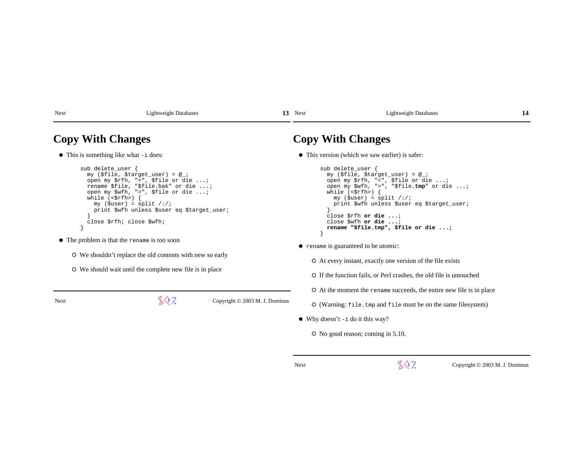Next Lightweight Databases

**13** 

### 13 Next Lightweight Databases

### **Copy With Changes**

• This is something like what -i does:

```
sub delete user {

 my ($file, $target_user) = @_;
 open my $rfh, "<", $file or die ...;
 rename $file, "$file.bak" or die ...;
 open my $wfh, ">", $file or die ...; while (<$rfh>) {
 my ($user) = split /:/;
 print $wfh unless $user eq $target_user; }
 close $rfh; close $wfh; }
```
- The problem is that the rename is too soon
	- We shouldn't replace the old contents with new so early
	- We should wait until the complete new file is in place

Next

 $\sqrt{$}$  7. Copyright © 2003 M. J. Dominus

## **Copy With Changes**

This version (which we saw earlier) is safer:

```
sub delete user {

 my ($file, $target_user) = @_;
 open my $rfh, "<", $file or die ...;
 open my $wfh, ">", "$file.tmp" or die ...; while (<$rfh>) {
 my ($user) = split /:/;
 print $wfh unless $user eq $target_user; }
 close $rfh or die ...;  close $wfh or die ...;
 rename "$file.tmp", $file or die ...; }
```
- rename is guaranteed to be *atomic*:
	- At every instant, exactly one version of the file exists
	- If the function fails, or Perl crashes, the old file is untouched
	- At the moment the rename succeeds, the entire new file is in place
	- (Warning: file.tmp and file must be on the same filesystem)
- Why doesn't -i do it this way?
	- No good reason; coming in 5.10.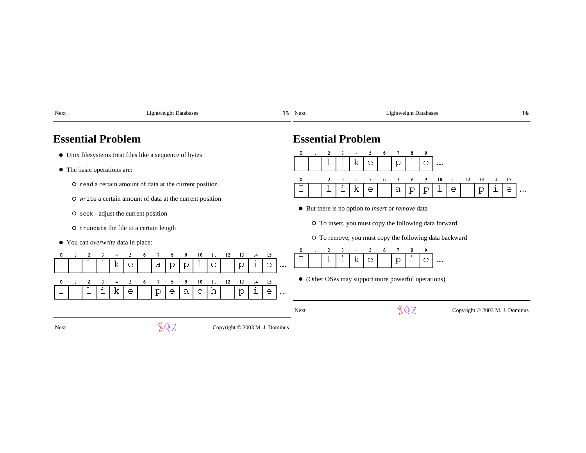| Next                                 | <b>Lightweight Databases</b>                                                                                                             | 15                                                               | Next<br><b>Lightweight Databases</b><br>16                                                                              |
|--------------------------------------|------------------------------------------------------------------------------------------------------------------------------------------|------------------------------------------------------------------|-------------------------------------------------------------------------------------------------------------------------|
| <b>Essential Problem</b>             |                                                                                                                                          |                                                                  | <b>Essential Problem</b>                                                                                                |
|                                      | • Unix filesystems treat files like a sequence of bytes                                                                                  |                                                                  | 2<br>3<br>6<br>9<br>5<br>k<br>е<br>$\mathbf{p}$<br>$\rm e$<br>ı<br>ı                                                    |
| • The basic operations are:          |                                                                                                                                          |                                                                  | $\cdots$                                                                                                                |
|                                      | O read a certain amount of data at the current position                                                                                  |                                                                  | LO.<br>$\mathsf{L}2$<br>15<br>ιı<br>13<br>l4<br>k<br>е<br>a<br>$\mathbf{p}$<br>е<br>$\mathbf{p}$<br>е<br>р<br>$\ddotsc$ |
|                                      | O write a certain amount of data at the current position                                                                                 |                                                                  |                                                                                                                         |
| O seek - adjust the current position |                                                                                                                                          |                                                                  | • But there is no option to <i>insert</i> or <i>remove</i> data                                                         |
|                                      | O truncate the file to a certain length                                                                                                  |                                                                  | O To insert, you must copy the following data forward                                                                   |
| • You can overwrite data in place:   |                                                                                                                                          |                                                                  | O To remove, you must copy the following data backward                                                                  |
|                                      |                                                                                                                                          |                                                                  |                                                                                                                         |
| k<br>ı                               | 10<br>LL.<br>12<br>$\lfloor 3 \rfloor$<br>$\lfloor 4 \rfloor$<br>8<br>i<br>$\mbox{\rm a}$<br>$\mathbf{p}$<br>е<br>$\mathbf{p}$<br>е<br>p | 15<br>е<br>$\ddot{\phantom{0}}$                                  | k<br>е<br>е<br>$\mathbf{p}$<br>ı<br>$\cdots$                                                                            |
|                                      | LO.<br>ιı<br>L <sub>2</sub><br>$\lfloor 3 \rfloor$<br>$\lfloor 4 \rfloor$<br>5<br>Q                                                      | L5                                                               | • (Other OSes may support more powerful operations)                                                                     |
| K                                    | е<br>е<br>a<br>$\mathbf{p}$<br>p<br>C<br>n                                                                                               | $\mathrel{\mathop{\mathrm{e}}\nolimits}$<br>$\perp$<br>$\ddotsc$ |                                                                                                                         |
|                                      |                                                                                                                                          |                                                                  | 807<br>Copyright © 2003 M. J. Dominus<br>Next                                                                           |
| Next                                 | 807.<br>Copyright © 2003 M. J. Dominus                                                                                                   |                                                                  |                                                                                                                         |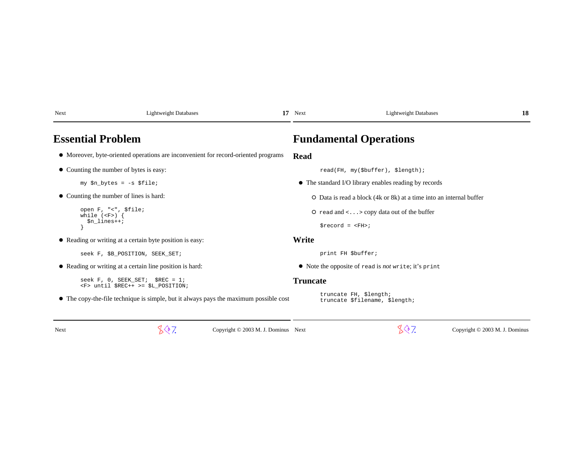| Next                                                    | <b>Lightweight Databases</b>                                                          | 17 Next         | <b>Lightweight Databases</b>                                                      | 18 |
|---------------------------------------------------------|---------------------------------------------------------------------------------------|-----------------|-----------------------------------------------------------------------------------|----|
| <b>Essential Problem</b>                                |                                                                                       |                 | <b>Fundamental Operations</b>                                                     |    |
|                                                         | • Moreover, byte-oriented operations are inconvenient for record-oriented programs    | <b>Read</b>     |                                                                                   |    |
| • Counting the number of bytes is easy:                 |                                                                                       |                 | read(FH, my(\$buffer), \$length);                                                 |    |
| $my$ \$n bytes = $-s$ \$file;                           |                                                                                       |                 | • The standard I/O library enables reading by records                             |    |
| • Counting the number of lines is hard:                 |                                                                                       |                 | O Data is read a block (4k or 8k) at a time into an internal buffer               |    |
| open F, "<", \$file;<br>while $(F)$ {<br>$$n_1$ ines++; |                                                                                       |                 | O read and $\langle \ldots \rangle$ copy data out of the buffer<br>$$record = $ ; |    |
|                                                         | • Reading or writing at a certain byte position is easy:                              | Write           |                                                                                   |    |
|                                                         | seek F, \$B_POSITION, SEEK_SET;                                                       |                 | print FH \$buffer;                                                                |    |
|                                                         | • Reading or writing at a certain line position is hard:                              |                 | • Note the opposite of read is <i>not</i> write; it's print                       |    |
|                                                         | seek $F$ , 0, SEEK SET; \$REC = 1;<br><f> until \$REC++ &gt;= \$L POSITION;</f>       | <b>Truncate</b> |                                                                                   |    |
|                                                         | • The copy-the-file technique is simple, but it always pays the maximum possible cost |                 | truncate FH, \$length;<br>truncate \$filename, \$length;                          |    |

t  $\mathbb{C}^{\mathbb{R}}$  and  $\mathbb{C}^{\mathbb{R}}$  and  $\mathbb{C}^{\mathbb{R}}$  copyright © 2003 M. J. Dominus Next

 $\sqrt{$}$  7. Copyright © 2003 M. J. Dominus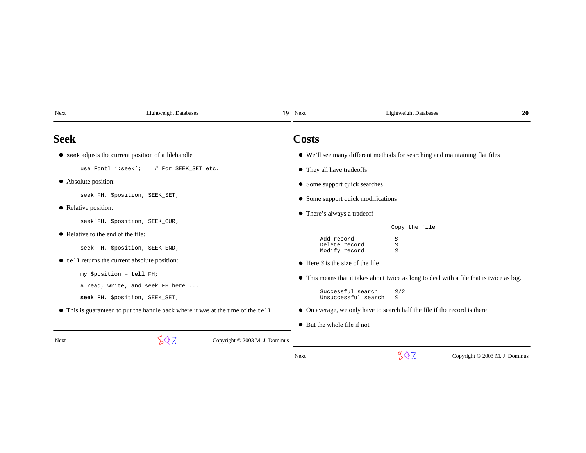| Next                                                                             | <b>Lightweight Databases</b>                        | 19<br>Next                     |                                                                           | <b>Lightweight Databases</b>                                                             | 20 |  |
|----------------------------------------------------------------------------------|-----------------------------------------------------|--------------------------------|---------------------------------------------------------------------------|------------------------------------------------------------------------------------------|----|--|
| <b>Seek</b>                                                                      |                                                     |                                | Costs                                                                     |                                                                                          |    |  |
|                                                                                  | • seek adjusts the current position of a filehandle |                                |                                                                           | • We'll see many different methods for searching and maintaining flat files              |    |  |
|                                                                                  | use Fcntl ':seek';<br># For SEEK SET etc.           |                                | • They all have tradeoffs                                                 |                                                                                          |    |  |
| • Absolute position:                                                             |                                                     |                                | • Some support quick searches                                             |                                                                                          |    |  |
|                                                                                  | seek FH, \$position, SEEK_SET;                      |                                | • Some support quick modifications                                        |                                                                                          |    |  |
| • Relative position:                                                             |                                                     |                                | • There's always a tradeoff                                               |                                                                                          |    |  |
|                                                                                  | seek FH, \$position, SEEK_CUR;                      |                                |                                                                           | Copy the file                                                                            |    |  |
|                                                                                  | • Relative to the end of the file:                  |                                | Add record                                                                | S                                                                                        |    |  |
|                                                                                  | seek FH, \$position, SEEK_END;                      |                                | Delete record<br>Modify record                                            | $\cal S$<br>$\boldsymbol{S}$                                                             |    |  |
|                                                                                  | • tell returns the current absolute position:       |                                | $\bullet$ Here S is the size of the file                                  |                                                                                          |    |  |
|                                                                                  | my \$position = tell FH;                            |                                |                                                                           | • This means that it takes about twice as long to deal with a file that is twice as big. |    |  |
|                                                                                  | # read, write, and seek FH here                     |                                |                                                                           |                                                                                          |    |  |
|                                                                                  | seek FH, \$position, SEEK_SET;                      |                                | Successful search<br>Unsuccessful search                                  | S/2<br>S                                                                                 |    |  |
| • This is guaranteed to put the handle back where it was at the time of the tell |                                                     |                                | • On average, we only have to search half the file if the record is there |                                                                                          |    |  |
|                                                                                  |                                                     |                                | • But the whole file if not                                               |                                                                                          |    |  |
| <b>Next</b>                                                                      | 847.                                                | Copyright © 2003 M. J. Dominus |                                                                           |                                                                                          |    |  |

 $\sqrt[4]{7}$  Copyright © 2003 M. J. Dominus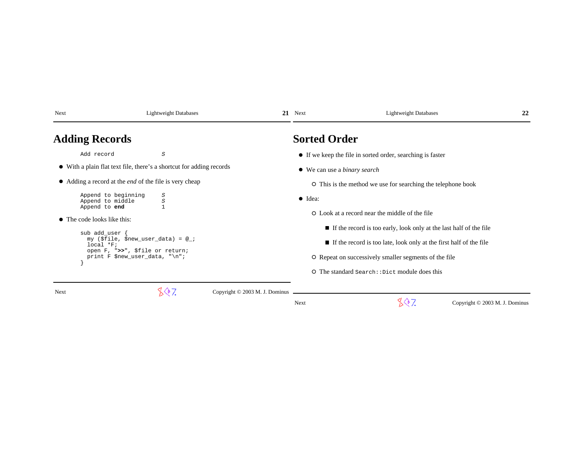| Next                                                                                                                                                                   | <b>Lightweight Databases</b>                                         | 21                             | Next                                                                                                                                                                                                                            | <b>Lightweight Databases</b>                                 | 22 |  |
|------------------------------------------------------------------------------------------------------------------------------------------------------------------------|----------------------------------------------------------------------|--------------------------------|---------------------------------------------------------------------------------------------------------------------------------------------------------------------------------------------------------------------------------|--------------------------------------------------------------|----|--|
| <b>Adding Records</b>                                                                                                                                                  |                                                                      |                                | <b>Sorted Order</b>                                                                                                                                                                                                             |                                                              |    |  |
| Add record                                                                                                                                                             | $\cal S$                                                             |                                |                                                                                                                                                                                                                                 | • If we keep the file in sorted order, searching is faster   |    |  |
|                                                                                                                                                                        | • With a plain flat text file, there's a shortcut for adding records |                                | • We can use a <i>binary search</i>                                                                                                                                                                                             |                                                              |    |  |
| • Adding a record at the <i>end</i> of the file is very cheap                                                                                                          |                                                                      |                                |                                                                                                                                                                                                                                 | O This is the method we use for searching the telephone book |    |  |
| Append to beginning<br>Append to middle<br>Append to end                                                                                                               | S<br>S                                                               |                                | $\bullet$ Idea:                                                                                                                                                                                                                 | O Look at a record near the middle of the file               |    |  |
| • The code looks like this:<br>sub add_user<br>my (\$file, \$new_user_data) = $@$ ;<br>$local *F$<br>open F, ">>", \$file or return;<br>print F \$new_user_data, "\n"; |                                                                      |                                | $\blacksquare$ If the record is too early, look only at the last half of the file<br>$\blacksquare$ If the record is too late, look only at the first half of the file<br>O Repeat on successively smaller segments of the file |                                                              |    |  |
|                                                                                                                                                                        |                                                                      |                                |                                                                                                                                                                                                                                 | $\circ$ The standard Search:: Dict module does this          |    |  |
| Next                                                                                                                                                                   | .Q7.                                                                 | Copyright © 2003 M. J. Dominus |                                                                                                                                                                                                                                 |                                                              |    |  |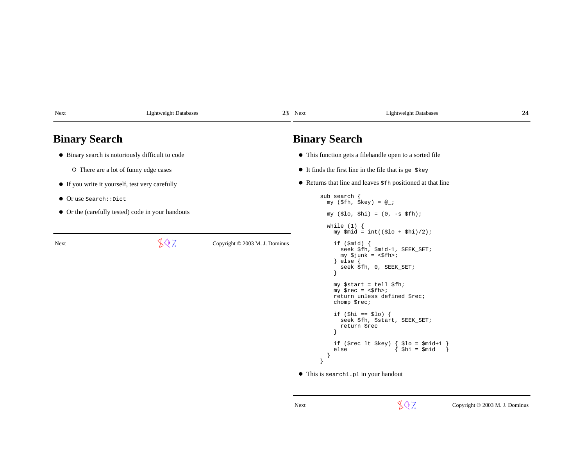|                                | <b>Binary Search</b>                                        | • This function gets a filehandle open to a sorted file                                                                                                                        |                                                                                                                                                                                                                                                                                                                                                                                                                                                                                                                                                                                       |
|--------------------------------|-------------------------------------------------------------|--------------------------------------------------------------------------------------------------------------------------------------------------------------------------------|---------------------------------------------------------------------------------------------------------------------------------------------------------------------------------------------------------------------------------------------------------------------------------------------------------------------------------------------------------------------------------------------------------------------------------------------------------------------------------------------------------------------------------------------------------------------------------------|
|                                |                                                             |                                                                                                                                                                                |                                                                                                                                                                                                                                                                                                                                                                                                                                                                                                                                                                                       |
|                                |                                                             |                                                                                                                                                                                |                                                                                                                                                                                                                                                                                                                                                                                                                                                                                                                                                                                       |
|                                |                                                             | $\bullet$ It finds the first line in the file that is ge $\frac{1}{2}$ key                                                                                                     |                                                                                                                                                                                                                                                                                                                                                                                                                                                                                                                                                                                       |
|                                |                                                             | • Returns that line and leaves $$fh$ positioned at that line                                                                                                                   |                                                                                                                                                                                                                                                                                                                                                                                                                                                                                                                                                                                       |
|                                | sub search {<br>my $(\$fh, \$key) = @_{i}$<br>while $(1)$ { | my $(\$lo, \$hi) = (0, -s \$fh)$ ;                                                                                                                                             |                                                                                                                                                                                                                                                                                                                                                                                                                                                                                                                                                                                       |
| Copyright © 2003 M. J. Dominus | if $(\text{$mid})$ {<br>$\}$ else $\{$<br>else              | my $\sin d = \text{int}((\xi \log 10) + \xi \ln 1)/2$ ;<br>seek \$fh, \$mid-1, SEEK_SET;<br>$my$ \$junk = <\$fh>;<br>seek \$fh, 0, SEEK_SET;<br>$$1o = $mid+1$<br>$$hi = $mid$ |                                                                                                                                                                                                                                                                                                                                                                                                                                                                                                                                                                                       |
|                                |                                                             |                                                                                                                                                                                | my \$start = tell \$fh;<br>$my$ $\frac{1}{2}$ $\frac{1}{2}$ $\frac{1}{2}$ $\frac{1}{2}$ $\frac{1}{2}$ $\frac{1}{2}$ $\frac{1}{2}$ $\frac{1}{2}$ $\frac{1}{2}$ $\frac{1}{2}$ $\frac{1}{2}$ $\frac{1}{2}$ $\frac{1}{2}$ $\frac{1}{2}$ $\frac{1}{2}$ $\frac{1}{2}$ $\frac{1}{2}$ $\frac{1}{2}$ $\frac{1}{2}$ $\frac{1}{2}$ $\frac{1}{2}$ $\frac{1}{2$<br>return unless defined \$rec;<br>chomp \$rec;<br>if $(\frac{\pi}{2})$ == $\frac{\pi}{2}$ = $\frac{\pi}{2}$<br>seek \$fh, \$start, SEEK_SET;<br>return \$rec<br>if $(\$rec$ lt $\$key)$ {<br>• This is search1.pl in your handout |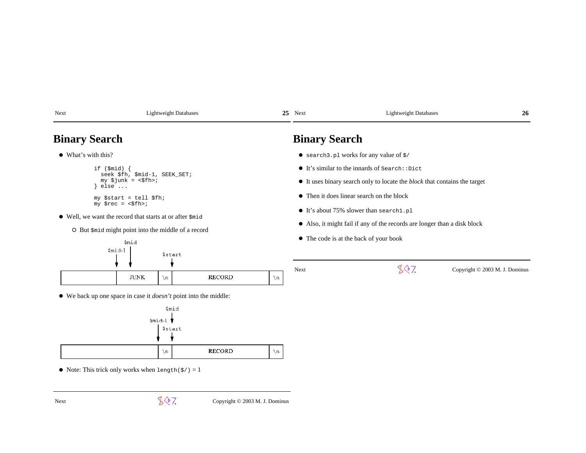| Next                                                                                                                                                                                                                                                                                                                                                                                                                                                                                                                                                                                                    | <b>Lightweight Databases</b>                                                                                                                                    | 25                         | Next                                                                                                                                                                                                                                                                                                                                                      | <b>Lightweight Databases</b>                                | 26                             |
|---------------------------------------------------------------------------------------------------------------------------------------------------------------------------------------------------------------------------------------------------------------------------------------------------------------------------------------------------------------------------------------------------------------------------------------------------------------------------------------------------------------------------------------------------------------------------------------------------------|-----------------------------------------------------------------------------------------------------------------------------------------------------------------|----------------------------|-----------------------------------------------------------------------------------------------------------------------------------------------------------------------------------------------------------------------------------------------------------------------------------------------------------------------------------------------------------|-------------------------------------------------------------|--------------------------------|
|                                                                                                                                                                                                                                                                                                                                                                                                                                                                                                                                                                                                         | <b>Binary Search</b>                                                                                                                                            |                            | <b>Binary Search</b>                                                                                                                                                                                                                                                                                                                                      |                                                             |                                |
|                                                                                                                                                                                                                                                                                                                                                                                                                                                                                                                                                                                                         | $\bullet$ What's with this?                                                                                                                                     |                            |                                                                                                                                                                                                                                                                                                                                                           | $\bullet$ search 3. pl works for any value of $\frac{1}{5}$ |                                |
| if $(\text{$mid})$ {<br>seek \$fh, \$mid-1, SEEK_SET;<br>$my$ \$junk = <\$fh>;<br>else<br>my \$start = tell \$fh;<br>$my$ $\frac{1}{2}$ $\frac{1}{2}$ $\frac{1}{2}$ $\frac{1}{2}$ $\frac{1}{2}$ $\frac{1}{2}$ $\frac{1}{2}$ $\frac{1}{2}$ $\frac{1}{2}$ $\frac{1}{2}$ $\frac{1}{2}$ $\frac{1}{2}$ $\frac{1}{2}$ $\frac{1}{2}$ $\frac{1}{2}$ $\frac{1}{2}$ $\frac{1}{2}$ $\frac{1}{2}$ $\frac{1}{2}$ $\frac{1}{2}$ $\frac{1}{2}$ $\frac{1}{2$<br>• Well, we want the record that starts at or after $\sin$<br>O But \$mid might point into the middle of a record<br>\$mid<br>$$mid-1$<br><b>\$start</b> |                                                                                                                                                                 |                            | $\bullet$ It's similar to the innards of Search: : Dict<br>• It uses binary search only to locate the <i>block</i> that contains the target<br>• Then it does linear search on the block<br>• It's about 75% slower than search1.pl<br>• Also, it might fail if any of the records are longer than a disk block<br>• The code is at the back of your book |                                                             |                                |
|                                                                                                                                                                                                                                                                                                                                                                                                                                                                                                                                                                                                         | <b>JUNK</b><br>$\n\vee$ n<br>$\bullet$ We back up one space in case it <i>doesn't</i> point into the middle:<br><i><b>Smid</b></i><br>$$mid-1$<br><b>Sstart</b> | RECORD<br>$\n\overline{n}$ | Next                                                                                                                                                                                                                                                                                                                                                      | 807                                                         | Copyright © 2003 M. J. Dominus |

 $\bullet$  Note: This trick only works when length( $\frac{\xi}{\xi}$ ) = 1

 $\bar{\chi}_n$ 

 $\sqrt[4]{\sqrt[4]{7}}$  Copyright © 2003 M. J. Dominus

 $\bar{\chi}_{\rm R}$ 

RECORD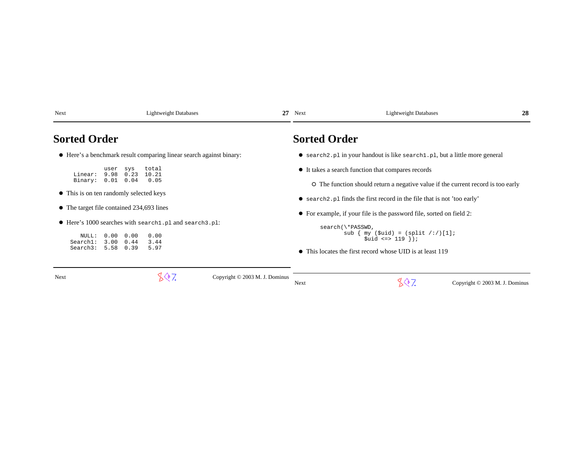| Next                |                                                   | <b>Lightweight Databases</b>                                        | 27 | Next                | <b>Lightweight Databases</b>                                                     | 28 |
|---------------------|---------------------------------------------------|---------------------------------------------------------------------|----|---------------------|----------------------------------------------------------------------------------|----|
| <b>Sorted Order</b> |                                                   |                                                                     |    | <b>Sorted Order</b> |                                                                                  |    |
|                     |                                                   | • Here's a benchmark result comparing linear search against binary: |    |                     | • search2.pl in your handout is like search1.pl, but a little more general       |    |
| Linear:             | user<br>sys<br>9.98<br>0.23                       | total<br>10.21                                                      |    |                     | • It takes a search function that compares records                               |    |
| Binary:             | $0.01 \quad 0.04$                                 | 0.05                                                                |    |                     | O The function should return a negative value if the current record is too early |    |
|                     | • This is on ten randomly selected keys           |                                                                     |    |                     | • search 2 pl finds the first record in the file that is not 'too early'         |    |
|                     | $\bullet$ The target file contained 234,693 lines |                                                                     |    |                     | $\bullet$ For example, if your file is the password file, sorted on field 2:     |    |
|                     |                                                   | • Here's 1000 searches with search1.pl and search3.pl:              |    |                     | search(\*PASSWD,                                                                 |    |
| NULL:<br>Search1:   | 0.00<br>0.00<br>$3.00 \quad 0.44$                 | 0.00<br>3.44                                                        |    |                     | sub $\{ my (\text{suit}) = (split / : /)[1];$<br>$$uid \leq > 119 \}$ ;          |    |
|                     | Search3: 5.58 0.39                                | 5.97                                                                |    |                     | • This locates the first record whose UID is at least 119                        |    |
|                     |                                                   |                                                                     |    |                     |                                                                                  |    |

| Next | Copyright © 2003 M. J. Dominus |                                             | Copyright $\odot$ 2003 M. J.<br>Dominus |
|------|--------------------------------|---------------------------------------------|-----------------------------------------|
|      |                                | Next<br>the contract of the contract of the |                                         |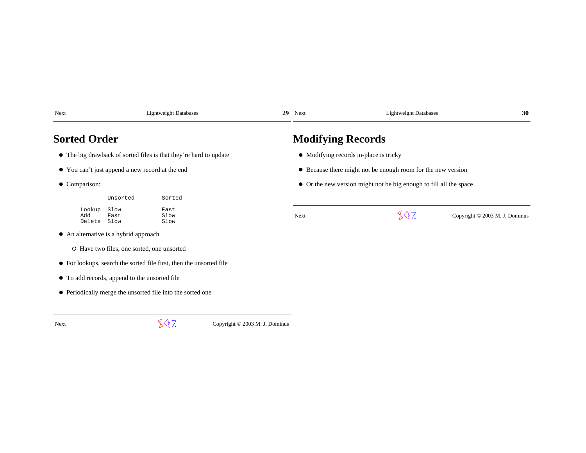| Next                    |                                                 | <b>Lightweight Databases</b>                                        | 29<br>Next               | <b>Lightweight Databases</b>                                       | 30                             |
|-------------------------|-------------------------------------------------|---------------------------------------------------------------------|--------------------------|--------------------------------------------------------------------|--------------------------------|
| <b>Sorted Order</b>     |                                                 |                                                                     | <b>Modifying Records</b> |                                                                    |                                |
|                         |                                                 | • The big drawback of sorted files is that they're hard to update   |                          | • Modifying records in-place is tricky                             |                                |
|                         | • You can't just append a new record at the end |                                                                     |                          | • Because there might not be enough room for the new version       |                                |
| • Comparison:           |                                                 |                                                                     |                          | • Or the new version might not be big enough to fill all the space |                                |
|                         | Unsorted                                        | Sorted                                                              |                          |                                                                    |                                |
| Lookup<br>Add<br>Delete | Slow<br>Fast<br>Slow                            | Fast<br>Slow<br>Slow                                                | Next                     | 807                                                                | Copyright © 2003 M. J. Dominus |
|                         | • An alternative is a hybrid approach           |                                                                     |                          |                                                                    |                                |
|                         | O Have two files, one sorted, one unsorted      |                                                                     |                          |                                                                    |                                |
|                         |                                                 | • For lookups, search the sorted file first, then the unsorted file |                          |                                                                    |                                |
|                         | • To add records, append to the unsorted file   |                                                                     |                          |                                                                    |                                |
|                         |                                                 | • Periodically merge the unsorted file into the sorted one          |                          |                                                                    |                                |

 $\sqrt[4]{7}$  Copyright © 2003 M. J. Dominus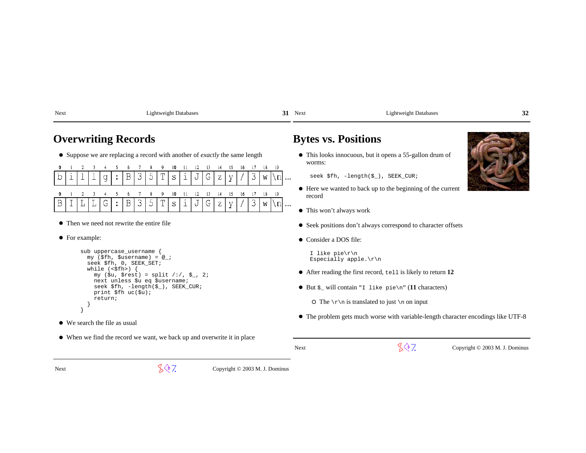| Next | Lightweight Databases |
|------|-----------------------|
|      |                       |

**31** 

31 Next Lightweight Databases **32**

### **Overwriting Records**

Suppose we are replacing a record with another of *exactly* the same length

| 0 1 2 3 4 5 6 7 8 9 10 11 12 13 14 15 16 17 18 19                                           |  |  |  |  |  |  |  |  |  |  |
|---------------------------------------------------------------------------------------------|--|--|--|--|--|--|--|--|--|--|
| $\boxed{b   i   l   l   g   :   B   3   5   T   s   i   J   G   z   y   /   3   w   \ln }.$ |  |  |  |  |  |  |  |  |  |  |
| 0 1 2 3 4 5 6 7 8 9 10 11 12 13 14 15 16 17 18 19                                           |  |  |  |  |  |  |  |  |  |  |
| $B[I[L][L]G]:B[35]T[s[i]J[G]Z[y]/3[w]\in ]$                                                 |  |  |  |  |  |  |  |  |  |  |

- Then we need not rewrite the entire file
- For example:

```
sub uppercase username {

 my ($fh, $username) = @_; seek $fh, 0, SEEK_SET;while (\leq fh>) {

 my ($u, $rest) = split /:/, $_, 2; next unless $u eq $username;
 seek $fh, -length($_), SEEK_CUR; print $fh uc($u); return; } }
```
- We search the file as usual
- When we find the record we want, we back up and overwrite it in place

## **Bytes vs. Positions**

This looks innocuous, but it opens a 55-gallon drum ofworms:

seek \$fh, -length(\$\_), SEEK\_CUR;

- Here we wanted to back up to the beginning of the currentrecord
- This won't always work
- Seek positions don't always correspond to character offsets
- Consider a DOS file:

Next

 I like pie\r\nEspecially apple.\r\n

- After reading the first record, tell is likely to return **12**
- But \$\_ will contain "I like pie\n" (**11** characters)
	- $\circ$  The  $\r \in \mathbb{R}$  is translated to just  $\infty$  on input
- The problem gets much worse with variable-length character encodings like UTF-8

 $\sqrt{$}$  7. Copyright © 2003 M. J. Dominus



Next

 $\sqrt{$}$  7. Copyright © 2003 M. J. Dominus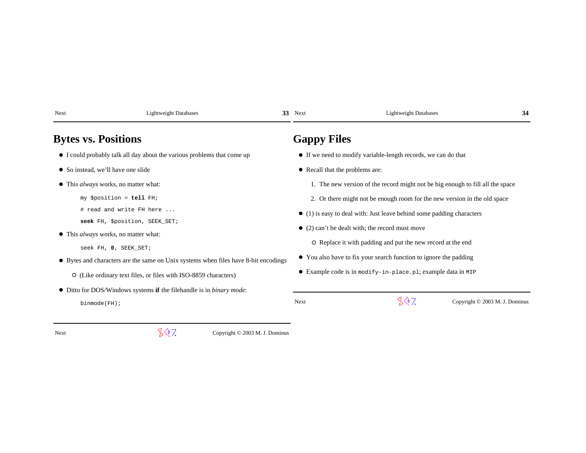| Next                       | <b>Lightweight Databases</b>                                                        | 33 Next            | <b>Lightweight Databases</b>                                                   | 34 |
|----------------------------|-------------------------------------------------------------------------------------|--------------------|--------------------------------------------------------------------------------|----|
| <b>Bytes vs. Positions</b> |                                                                                     | <b>Gappy Files</b> |                                                                                |    |
|                            | • I could probably talk all day about the various problems that come up             |                    | • If we need to modify variable-length records, we can do that                 |    |
|                            | • So instead, we'll have one slide                                                  |                    | • Recall that the problems are:                                                |    |
|                            | $\bullet$ This <i>always</i> works, no matter what:                                 |                    | 1. The new version of the record might not be big enough to fill all the space |    |
|                            | my \$position = tell FH;                                                            |                    | 2. Or there might not be enough room for the new version in the old space      |    |
|                            | # read and write FH here                                                            |                    | $\bullet$ (1) is easy to deal with: Just leave behind some padding characters  |    |
|                            | seek FH, \$position, SEEK_SET;                                                      |                    | $\bullet$ (2) can't be dealt with; the record must move                        |    |
|                            | $\bullet$ This <i>always</i> works, no matter what:                                 |                    |                                                                                |    |
|                            | seek FH, 0, SEEK_SET;                                                               |                    | O Replace it with padding and put the new record at the end                    |    |
|                            | • Bytes and characters are the same on Unix systems when files have 8-bit encodings |                    | • You also have to fix your search function to ignore the padding              |    |
|                            | O (Like ordinary text files, or files with ISO-8859 characters)                     |                    | • Example code is in modify-in-place.pl; example data in MIP                   |    |
|                            | • Ditto for DOS/Windows systems if the filehandle is in <i>binary mode</i> :        |                    |                                                                                |    |
| binmode(FH);               |                                                                                     | Next               | 807<br>Copyright © 2003 M. J. Dominus                                          |    |
|                            |                                                                                     |                    |                                                                                |    |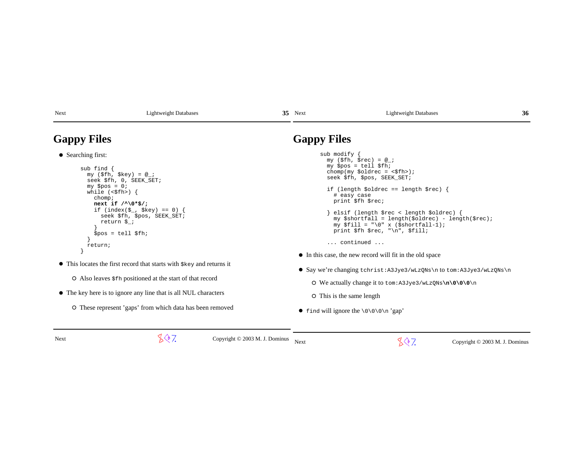| <b>Lightweight Databases</b> |
|------------------------------|
|                              |

| S |  | $35$ Next |
|---|--|-----------|
|   |  |           |

### Lightweight Databases  $\sim$  36

# **Gappy Files**

```
● Searching first:
      sub find {
 my ($fh, $key) = @_;
 seek $fh, 0, SEEK_SET; my $pos = 0;
 while (<$fh>) { chomp;
 next if /^\0*$/; 
 if (index($_, $key) == 0) {seek $fh, $pos, SEEK_SET;
          return $_; }
 $pos = tell $fh; }
 return; }
```
This locates the first record that starts with \$key and returns itAlso leaves \$fh positioned at the start of that recordThe key here is to ignore any line that is all NUL characters

O These represent 'gaps' from which data has been removed

# **Gappy Files**

| sub modify $\{$<br>$my$ (\$fh, \$rec) = $@_{i}$ ;<br>$my$ \$pos = tell \$fh;<br>chomp(my $\delta$ oldrec = $\delta$ fh>);<br>seek \$fh, \$pos, SEEK SET;                  |
|---------------------------------------------------------------------------------------------------------------------------------------------------------------------------|
| if (length \$oldrec == length \$rec) {<br># easy case<br>print \$fh \$rec;                                                                                                |
| } elsif (length \$rec < length \$oldrec) {<br>$my$ Sshortfall = length(Soldrec) - length(Srec);<br>my $$fill = "\0" x ($shortfall-1);$<br>print $$fh$ $$rec, "n", $fill;$ |
| continued                                                                                                                                                                 |
| • In this case, the new record will fit in the old space                                                                                                                  |
| • Say we're changing tchrist: A3Jye3/wLzQNs\n to tom: A3Jye3/wLzQNs\n                                                                                                     |

We actually change it to tom:A3Jye3/wLzQNs**\n\0\0\0**\n

O This is the same length

 $\bullet$  find will ignore the \0\0\0\n 'gap'

Next

 $\sqrt[4]{7}$  Copyright © 2003 M. J. Dominus Next

 $\sqrt{$}$  7. Copyright © 2003 M. J. Dominus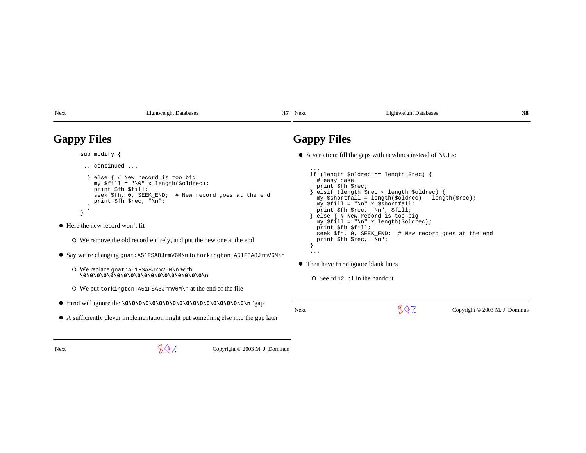| <b>Gappy Files</b>                                             |                                                                                                                                                                                                                                                                                                                                                                              |                                                                                    | <b>Gappy Files</b>                                                                                                                                                                                                                                               |                                                                                                                                                                                                                                                                                |                                |
|----------------------------------------------------------------|------------------------------------------------------------------------------------------------------------------------------------------------------------------------------------------------------------------------------------------------------------------------------------------------------------------------------------------------------------------------------|------------------------------------------------------------------------------------|------------------------------------------------------------------------------------------------------------------------------------------------------------------------------------------------------------------------------------------------------------------|--------------------------------------------------------------------------------------------------------------------------------------------------------------------------------------------------------------------------------------------------------------------------------|--------------------------------|
| sub modify {                                                   |                                                                                                                                                                                                                                                                                                                                                                              |                                                                                    |                                                                                                                                                                                                                                                                  | • A variation: fill the gaps with newlines instead of NULs:                                                                                                                                                                                                                    |                                |
| $\ldots$ continued $\ldots$<br>• Here the new record won't fit | else $\{$ # New record is too big<br>my \$fill = "\0" x length(\$oldrec);<br>print \$fh \$fill;<br>seek \$fh, 0, SEEK_END; # New record goes at the end<br>print $$fh$ $$rec, "n";$<br>O We remove the old record entirely, and put the new one at the end<br>O We replace $qnat:AB1FSABJrmV6M\n\in with$<br>O We put torking ton: $A51FSA8JrmV6M\$ n at the end of the file | $\bullet$ Say we're changing $qnat:AB1FSABJrmv6M\n$ to torkington: A51FSA8JrmV6M\n | $\cdots$<br># easy case<br>print \$fh \$rec;<br>my \$fill = "\n" x \$shortfall;<br>print \$fh \$rec, "\n", \$fill;<br>print \$fh \$fill;<br>print $$fh$ $$rec, "\\n";$<br>$\cdots$<br>• Then have find ignore blank lines<br>$\circ$ See mip2. p1 in the handout | if (length \$oldrec == length \$rec) {<br>elsif (length \$rec < length \$oldrec) {<br>my \$shortfall = length(\$oldrec) - length(\$rec);<br>else $\{$ # New record is too big<br>my $$fill = "\n" x length ($oldrec);$<br>seek \$fh, 0, SEEK_END; # New record goes at the end |                                |
|                                                                |                                                                                                                                                                                                                                                                                                                                                                              | • A sufficiently clever implementation might put something else into the gap later | Next                                                                                                                                                                                                                                                             | 807.                                                                                                                                                                                                                                                                           | Copyright © 2003 M. J. Dominus |
| Next                                                           | 807.                                                                                                                                                                                                                                                                                                                                                                         | Copyright $\odot$ 2003 M. J. Dominus                                               |                                                                                                                                                                                                                                                                  |                                                                                                                                                                                                                                                                                |                                |

37 Next Lightweight Databases

**38**

s 37

Next Lightweight Databases

Next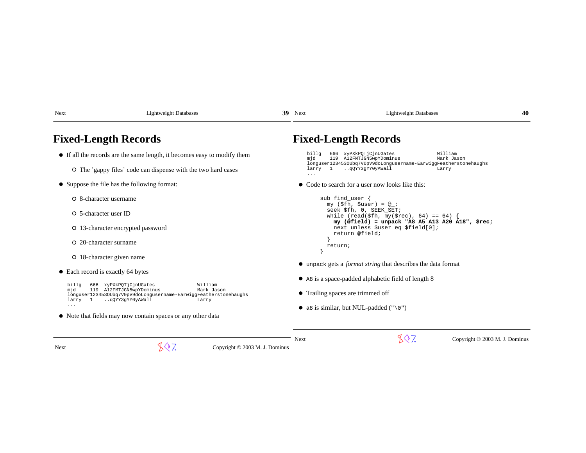| Next                                  | <b>Lightweight Databases</b>                                                                                                                                                | 39 | Next                            | <b>Lightweight Databases</b>                                                                            | 40 |
|---------------------------------------|-----------------------------------------------------------------------------------------------------------------------------------------------------------------------------|----|---------------------------------|---------------------------------------------------------------------------------------------------------|----|
|                                       | <b>Fixed-Length Records</b>                                                                                                                                                 |    |                                 | <b>Fixed-Length Records</b>                                                                             |    |
|                                       | • If all the records are the same length, it becomes easy to modify them                                                                                                    |    | billg<br>mid                    | 666 xyPXkPQTjCjnUGates<br>William<br>119 A12FMTJGN5wpYDominus<br>Mark Jason                             |    |
|                                       | O The 'gappy files' code can dispense with the two hard cases                                                                                                               |    | larry 1<br>$\sim$ $\sim$ $\sim$ | longuser1234530Ubq7V0pV9doLongusername-EarwiggFeatherstonehaughs<br>qQYY3gYY0yAWall<br>Larry            |    |
|                                       | • Suppose the file has the following format:                                                                                                                                |    |                                 | • Code to search for a user now looks like this:                                                        |    |
| O 8-character username                |                                                                                                                                                                             |    |                                 | sub find_user $\{$                                                                                      |    |
| O 5-character user ID                 |                                                                                                                                                                             |    |                                 | $my$ (\$fh, \$user) = $@_{i}$ ;<br>seek \$fh, 0, SEEK SET;<br>while (read(\$fh, my(\$rec), 64) == 64) { |    |
|                                       | O 13-character encrypted password                                                                                                                                           |    |                                 | my (@field) = unpack "A8 A5 A13 A20 A18", \$rec;<br>next unless \$user eq \$field[0];<br>return @field; |    |
| O 20-character surname                |                                                                                                                                                                             |    |                                 | return;                                                                                                 |    |
|                                       | O 18-character given name                                                                                                                                                   |    |                                 |                                                                                                         |    |
| • Each record is exactly 64 bytes     |                                                                                                                                                                             |    |                                 | • unpack gets a <i>format string</i> that describes the data format                                     |    |
|                                       |                                                                                                                                                                             |    |                                 | • As is a space-padded alphabetic field of length 8                                                     |    |
| billg<br>mjd<br>$\mathbf{1}$<br>larry | 666 xyPXkPQTjCjnUGates<br>William<br>119 A12FMTJGN5wpYDominus<br>Mark Jason<br>longuser1234530Ubq7V0pV9doLongusername-EarwiggFeatherstonehaughs<br>qQYY3gYY0yAWall<br>Larry |    |                                 | • Trailing spaces are trimmed off                                                                       |    |
| $\cdots$                              |                                                                                                                                                                             |    |                                 | • a8 is similar, but NUL-padded $(\sqrt[n]{0})$                                                         |    |
|                                       | • Note that fields may now contain spaces or any other data                                                                                                                 |    |                                 |                                                                                                         |    |
|                                       |                                                                                                                                                                             |    | Next                            | 807.<br>Copyright © 2003 M. J. Dominus                                                                  |    |
| <b>Next</b>                           | 847.<br>Copyright © 2003 M. J. Dominus                                                                                                                                      |    |                                 |                                                                                                         |    |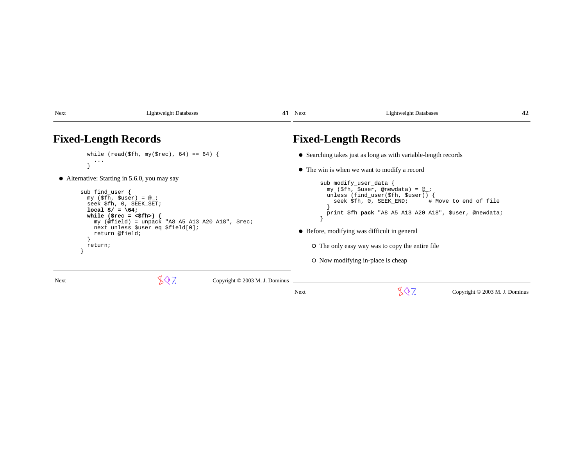| Next | <b>Lightweight Databases</b>                                                                                                                                                                                                                                            |                                | 41 Next | <b>Lightweight Databases</b>                                                                                                                                                                                                                                                                                                 | 42                             |
|------|-------------------------------------------------------------------------------------------------------------------------------------------------------------------------------------------------------------------------------------------------------------------------|--------------------------------|---------|------------------------------------------------------------------------------------------------------------------------------------------------------------------------------------------------------------------------------------------------------------------------------------------------------------------------------|--------------------------------|
|      | <b>Fixed-Length Records</b>                                                                                                                                                                                                                                             |                                |         | <b>Fixed-Length Records</b>                                                                                                                                                                                                                                                                                                  |                                |
|      | while (read(\$fh, my(\$rec), 64) == 64) {<br>$\cdots$<br>• Alternative: Starting in 5.6.0, you may say                                                                                                                                                                  |                                |         | • Searching takes just as long as with variable-length records<br>• The win is when we want to modify a record<br>sub modify_user_data {                                                                                                                                                                                     |                                |
|      | sub find_user {<br>$my$ (\$fh, \$user) = $@_{i}$ ;<br>seek \$fh, 0, SEEK SET;<br>$local$ \$/ = \64;<br>while (\$rec = $\langle$ \$fh>) {<br>my $(\text{ofield})$ = unpack "A8 A5 A13 A20 A18", \$rec;<br>next unless \$user eq \$field[0];<br>return @field;<br>return; |                                |         | my (\$fh, \$user, @newdata) = @_;<br>unless (find_user( $$fh, $user)$ ) {<br>seek \$fh, 0, SEEK END; # Move to end of file<br>print \$fh pack "A8 A5 A13 A20 A18", \$user, @newdata;<br>• Before, modifying was difficult in general<br>O The only easy way was to copy the entire file<br>O Now modifying in-place is cheap |                                |
| Next | 807.                                                                                                                                                                                                                                                                    | Copyright © 2003 M. J. Dominus |         |                                                                                                                                                                                                                                                                                                                              |                                |
|      |                                                                                                                                                                                                                                                                         |                                | Next    | 807.                                                                                                                                                                                                                                                                                                                         | Copyright © 2003 M. J. Dominus |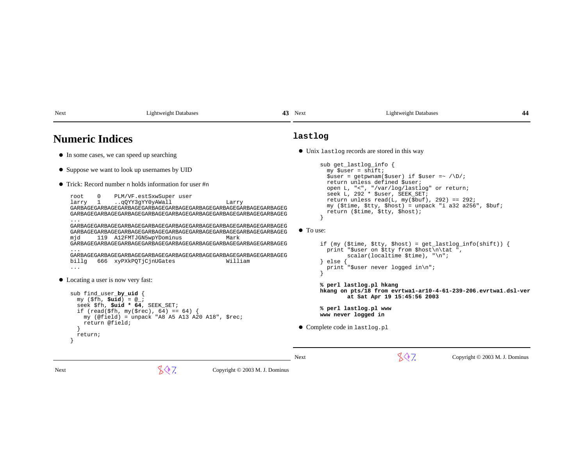| <b>Numeric Indices</b>                                                                                                                                                                                                                                                                                                                                                                                                                                                                                                                                                                                                                                                                                                                                                                                                                                                                                                                                                                               | lastlog                                                                                                                                                                                                                                                                                                                                                                                                                                                                                                                                                                                                                                                                                                                                                                                                    |
|------------------------------------------------------------------------------------------------------------------------------------------------------------------------------------------------------------------------------------------------------------------------------------------------------------------------------------------------------------------------------------------------------------------------------------------------------------------------------------------------------------------------------------------------------------------------------------------------------------------------------------------------------------------------------------------------------------------------------------------------------------------------------------------------------------------------------------------------------------------------------------------------------------------------------------------------------------------------------------------------------|------------------------------------------------------------------------------------------------------------------------------------------------------------------------------------------------------------------------------------------------------------------------------------------------------------------------------------------------------------------------------------------------------------------------------------------------------------------------------------------------------------------------------------------------------------------------------------------------------------------------------------------------------------------------------------------------------------------------------------------------------------------------------------------------------------|
| • In some cases, we can speed up searching                                                                                                                                                                                                                                                                                                                                                                                                                                                                                                                                                                                                                                                                                                                                                                                                                                                                                                                                                           | • Unix last log records are stored in this way                                                                                                                                                                                                                                                                                                                                                                                                                                                                                                                                                                                                                                                                                                                                                             |
| • Suppose we want to look up usernames by UID<br>$\bullet$ Trick: Record number n holds information for user $\#$ n<br>PLM/VF.estSxwSuper user<br>root<br>qQYY3gYY0yAWall<br>larry 1<br>Larry<br>GARBAGEGARBAGEGARBAGEGARBAGEGARBAGEGARBAGEGARBAGEGARBAGEGARBAGEG<br>GARBAGEGARBAGEGARBAGEGARBAGEGARBAGEGARBAGEGARBAGEGARBAGEGARBAGEG<br>.<br>GARBAGEGARBAGEGARBAGEGARBAGEGARBAGEGARBAGEGARBAGEGARBAGEGARBAGEG<br>GARBAGEGARBAGEGARBAGEGARBAGEGARBAGEGARBAGEGARBAGEGARBAGEGARBAGEG<br>119 A12FMTJGN5wpYDominus<br>Mark<br>mjd<br>GARBAGEGARBAGEGARBAGEGARBAGEGARBAGEGARBAGEGARBAGEGARBAGEGARBAGEG<br>.<br>GARBAGEGARBAGEGARBAGEGARBAGEGARBAGEGARBAGEGARBAGEGARBAGEGARBAGEG<br>666 xyPXkPOTjCjnUGates<br>William<br>billg<br>$\cdots$<br>• Locating a user is now very fast:<br>sub find_user_by_uid {<br>$my$ (\$fh, $Suid$ ) = $@$ ;<br>seek \$fh, \$uid * 64, SEEK SET;<br>if (read(\$fh, my(\$rec), 64) == 64) {<br>my (@field) = unpack "A8 A5 A13 A20 A18", \$rec;<br>return @field;<br>return; | sub get_lastlog_info {<br>$my$ \$user = shift;<br>$$user = getp$ wnam( $$user) if $user = \sqrt{D}/i$<br>return unless defined \$user;<br>open L, "<", "/var/log/lastlog" or return;<br>seek L, 292 * \$user, SEEK SET;<br>return unless read(L, $my(\text{fbuf})$ , 292) == 292;<br>my (\$time, \$tty, \$host) = unpack "i a32 a256", \$buf;<br>return (\$time, \$tty, \$host);<br>• To use:<br>if (my (\$time, \$tty, \$host) = $get\_lastlog_info(shift)$ ) {<br>print "\$user on \$tty from \$host\n\tat ",<br>$scalar(localtime $ . "\n";<br>else {<br>print "\$user never logged in\n";<br>% perl lastlog.pl hkang<br>hkang on pts/18 from evrtwal-ar10-4-61-239-206.evrtwal.dsl-ver<br>at Sat Apr 19 15:45:56 2003<br>% perl lastlog.pl www<br>www never logged in<br>• Complete code in lastlog.pl |
|                                                                                                                                                                                                                                                                                                                                                                                                                                                                                                                                                                                                                                                                                                                                                                                                                                                                                                                                                                                                      | 807<br>Copyright © 2003 M. J. Dominus<br>Next                                                                                                                                                                                                                                                                                                                                                                                                                                                                                                                                                                                                                                                                                                                                                              |

43 Next Lightweight Databases

**44**

**43**

Next Lightweight Databases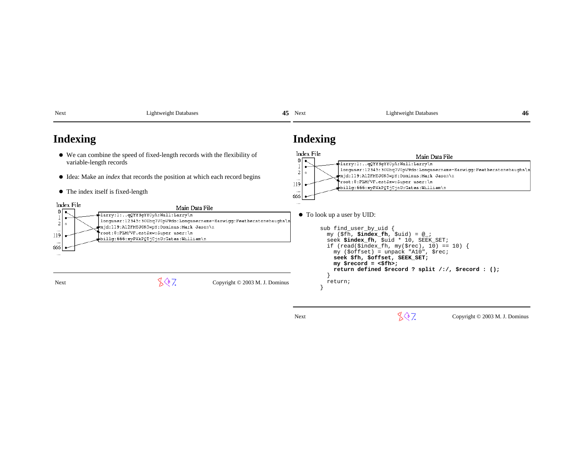| Next                                                                           | <b>Lightweight Databases</b>                                                                                                                                                                                                                                  | 45 | Next                            | <b>Lightweight Databases</b>                                                                                                                                                                                                                                                                                                                              | 46 |
|--------------------------------------------------------------------------------|---------------------------------------------------------------------------------------------------------------------------------------------------------------------------------------------------------------------------------------------------------------|----|---------------------------------|-----------------------------------------------------------------------------------------------------------------------------------------------------------------------------------------------------------------------------------------------------------------------------------------------------------------------------------------------------------|----|
| Indexing                                                                       |                                                                                                                                                                                                                                                               |    | Indexing                        |                                                                                                                                                                                                                                                                                                                                                           |    |
| variable-length records                                                        | • We can combine the speed of fixed-length records with the flexibility of                                                                                                                                                                                    |    | Index File<br>0 <sub>1</sub>    | Main Data File<br>larry:l:qQYY3gYY0yA:Wall:Larry\n                                                                                                                                                                                                                                                                                                        |    |
|                                                                                | • Idea: Make an <i>index</i> that records the position at which each record begins                                                                                                                                                                            |    | 2<br>$\circ$<br>$\cdots$<br>119 | longuser:12345:300bq7V0pV9do:Longusername-Earwigg:Featherstonehaughs\n<br>mjd:119:A12FMTJGN5wpY:Dominus:Mark Jason\n<br>root:0:PLM/VF.estSxw:Super user:\n<br>billg:666:xyPXkPQTjCjnU:Gates:William\n                                                                                                                                                     |    |
|                                                                                | • The index itself is fixed-length                                                                                                                                                                                                                            |    | 666                             |                                                                                                                                                                                                                                                                                                                                                           |    |
| Index File<br>0<br>$\overline{\mathbf{c}}$<br>$\Diamond$<br>119<br>666<br>1.11 | Main Data File<br>-larry:l:qQYY3qYY0yA:Wall:Larry\n<br>longuser:12345:300bq7V0pV9do:Longusername-Earwigg:Featherstonehaughs\n<br>mjd:119:Al2FMTJGN5wpY:Dominus:Mark Jason\n<br>root:0:PLM/VF.estSxw:Super user:\n<br>billg: 666:xyPXkPQTjCjnU:Gates:William\n |    |                                 | • To look up a user by UID:<br>sub find_user_by_uid<br>my $(\$fh, \$index_fn, \$uid) = @_i$<br>seek \$index fh, \$uid * 10, SEEK SET;<br>if (read(\$index_fh, my(\$rec), 10) == 10) {<br>$my$ (\$offset) = unpack "A10", \$rec;<br>seek \$fh, \$offset, SEEK SET;<br>$my$ \$record = <\$fh>;<br>return defined \$record ? split $\ell$ :/, \$record : (); |    |
| Next                                                                           | 807<br>Copyright © 2003 M. J. Dominus                                                                                                                                                                                                                         |    |                                 | return;                                                                                                                                                                                                                                                                                                                                                   |    |

 $887$  Copyright © 2003 M. J. Dominus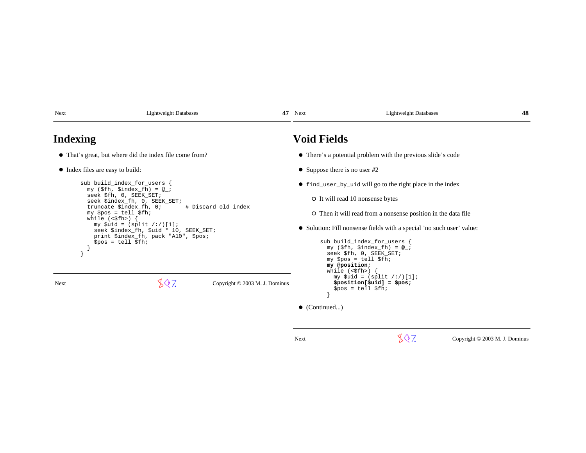| <b>Void Fields</b><br><b>Indexing</b>                                                                                                                                     |                                                               |  |  |  |
|---------------------------------------------------------------------------------------------------------------------------------------------------------------------------|---------------------------------------------------------------|--|--|--|
| • That's great, but where did the index file come from?<br>• There's a potential problem with the previous slide's code                                                   |                                                               |  |  |  |
| • Index files are easy to build:<br>• Suppose there is no user $#2$                                                                                                       |                                                               |  |  |  |
| sub build_index_for_users {<br>• find_user_by_uid will go to the right place in the index<br>my $(\frac{\xi}{\hbar})$ , $\frac{\xi}{\hbar}$ ( $\frac{\xi}{\hbar}$ ) = @_; |                                                               |  |  |  |
| seek \$fh, 0, SEEK SET;<br>O It will read 10 nonsense bytes<br>seek \$index_fh, 0, SEEK_SET;                                                                              |                                                               |  |  |  |
| # Discard old index<br>truncate \$index_fh, 0;<br>$my$ \$pos = tell \$fh;<br>while $(\langle \text{sfh} \rangle)$ {                                                       | O Then it will read from a nonsense position in the data file |  |  |  |
| my $$uid = (split / : /)[1];$<br>• Solution: Fill nonsense fields with a special 'no such user' value:<br>seek \$index_fh, \$uid * 10, SEEK_SET;                          |                                                               |  |  |  |
| print \$index_fh, pack "A10", \$pos;<br>sub build_index_for_users {<br>$$pos = tell $fh;$<br>$my$ (\$fh, \$index_fh) = $@$ ;                                              |                                                               |  |  |  |
| seek \$fh, 0, SEEK_SET;                                                                                                                                                   |                                                               |  |  |  |
| $my$ \$pos = tell \$fh;<br>my @position;                                                                                                                                  |                                                               |  |  |  |
| while $(\langle \$fh \rangle)$<br>my $$uid = (split / : /)[1];$                                                                                                           |                                                               |  |  |  |
| 807<br>$$position[$uid] = $pos;$<br>Copyright © 2003 M. J. Dominus<br>Next<br>$$pos = tell $fh;$                                                                          |                                                               |  |  |  |
| $\bullet$ (Continued)                                                                                                                                                     |                                                               |  |  |  |
|                                                                                                                                                                           |                                                               |  |  |  |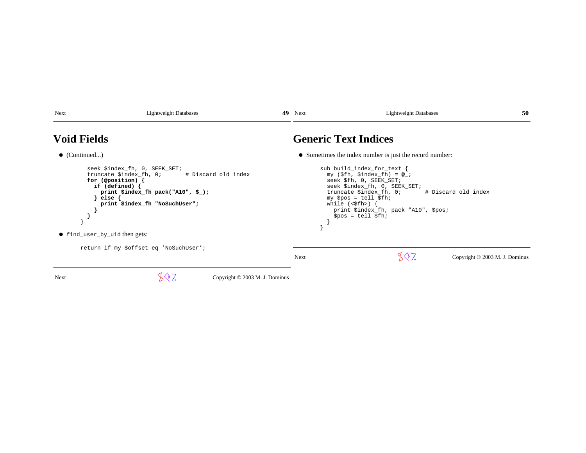| Next                                                                                                                                                                                                                                             | <b>Lightweight Databases</b>           |                                                                                                                                                                                                                                                                                                          | 49 Next | <b>Lightweight Databases</b>                            | 50                             |
|--------------------------------------------------------------------------------------------------------------------------------------------------------------------------------------------------------------------------------------------------|----------------------------------------|----------------------------------------------------------------------------------------------------------------------------------------------------------------------------------------------------------------------------------------------------------------------------------------------------------|---------|---------------------------------------------------------|--------------------------------|
| <b>Void Fields</b>                                                                                                                                                                                                                               |                                        |                                                                                                                                                                                                                                                                                                          |         | <b>Generic Text Indices</b>                             |                                |
| $\bullet$ (Continued)                                                                                                                                                                                                                            |                                        |                                                                                                                                                                                                                                                                                                          |         | • Sometimes the index number is just the record number: |                                |
| seek \$index_fh, 0, SEEK_SET;<br>truncate \$index_fh, 0;<br># Discard old index<br>for (@position) {<br>if (defined) $\{$<br>print $$index_fh$ pack("A10", $$$ );<br>$else$ {<br>print \$index_fh "NoSuchUser";<br>• find_user_by_uid then gets: |                                        | sub build_index_for_text {<br>$my$ (\$fh, \$index_fh) = $@$ ;<br>seek \$fh, 0, SEEK_SET;<br>seek \$index_fh, 0, SEEK_SET;<br>truncate \$index_fh, 0;<br># Discard old index<br>$my$ \$pos = tell \$fh;<br>while $(\langle \$fh \rangle)$ {<br>print \$index_fh, pack "A10", \$pos;<br>$$pos = tell $fh;$ |         |                                                         |                                |
|                                                                                                                                                                                                                                                  | return if my \$offset eq 'NoSuchUser'; |                                                                                                                                                                                                                                                                                                          | Next    | 807.                                                    | Copyright © 2003 M. J. Dominus |
| Next                                                                                                                                                                                                                                             | 807.                                   | Copyright © 2003 M. J. Dominus                                                                                                                                                                                                                                                                           |         |                                                         |                                |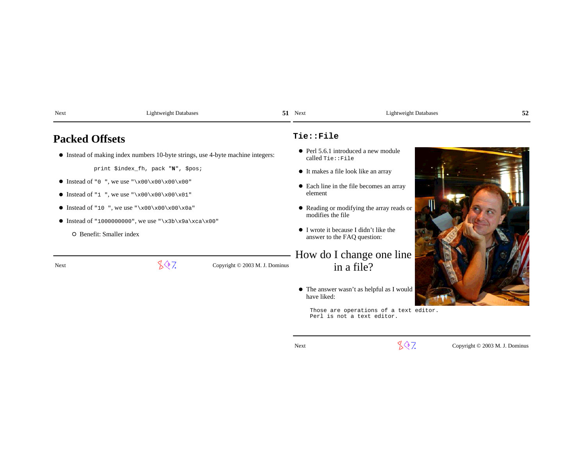| Next                     | <b>Lightweight Databases</b>                                                                         |                                | 51 Next                                                               | <b>Lightweight Databases</b>                                         | 52 |
|--------------------------|------------------------------------------------------------------------------------------------------|--------------------------------|-----------------------------------------------------------------------|----------------------------------------------------------------------|----|
| <b>Packed Offsets</b>    |                                                                                                      |                                | Tie::File                                                             |                                                                      |    |
|                          | • Instead of making index numbers 10-byte strings, use 4-byte machine integers:                      |                                | called Tie::File                                                      | • Perl 5.6.1 introduced a new module                                 |    |
|                          | print \$index_fh, pack "N", \$pos;                                                                   |                                |                                                                       | • It makes a file look like an array                                 |    |
|                          | • Instead of "0", we use " $x00\ x00\ x00$ "<br>• Instead of "1", we use "\x00\x00\x00\x01"          |                                | element                                                               | • Each line in the file becomes an array                             |    |
|                          | • Instead of "10", we use "\x00\x00\x00\x0a"<br>• Instead of "1000000000", we use "\x3b\x9a\xca\x00" |                                | modifies the file                                                     | • Reading or modifying the array reads or                            |    |
| O Benefit: Smaller index |                                                                                                      |                                | • I wrote it because I didn't like the<br>answer to the FAQ question: |                                                                      |    |
|                          |                                                                                                      |                                |                                                                       | How do I change one line                                             |    |
| Next                     | 807.                                                                                                 | Copyright © 2003 M. J. Dominus |                                                                       | in a file?                                                           |    |
|                          |                                                                                                      |                                | have liked:                                                           | • The answer wasn't as helpful as I would                            |    |
|                          |                                                                                                      |                                |                                                                       | Those are operations of a text editor.<br>Perl is not a text editor. |    |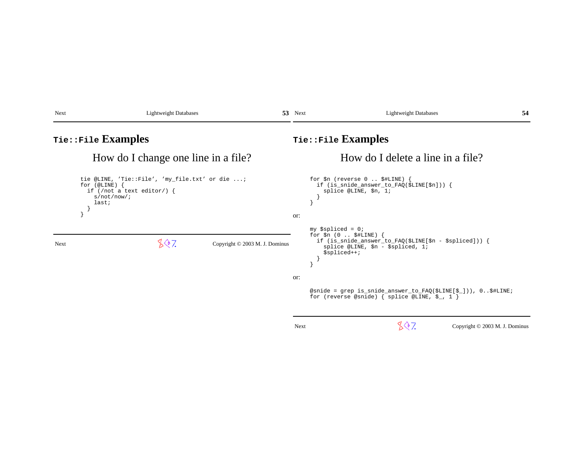| Next                                | <b>Lightweight Databases</b>                                                                |                                | 53 Next                           | <b>Lightweight Databases</b><br>54                                                                                                                                     |  |  |  |
|-------------------------------------|---------------------------------------------------------------------------------------------|--------------------------------|-----------------------------------|------------------------------------------------------------------------------------------------------------------------------------------------------------------------|--|--|--|
| Tie::File Examples                  |                                                                                             |                                |                                   | Tie::File Examples                                                                                                                                                     |  |  |  |
| How do I change one line in a file? |                                                                                             |                                | How do I delete a line in a file? |                                                                                                                                                                        |  |  |  |
| for $(@LINE)$ {<br>last;            | tie @LINE, 'Tie::File', 'my_file.txt' or die ;<br>if (/not a text editor/) {<br>s/not/now/i |                                | or:                               | for $\sin$ (reverse $0$ $\sharp$ HLINE)<br>if $(is\_smide\_answer_to_FAQ(\n$LINE[\n$n]) )$ {<br>splice @LINE, \$n, 1;                                                  |  |  |  |
| <b>Next</b>                         | 807                                                                                         | Copyright © 2003 M. J. Dominus |                                   | $my$ \$spliced = 0;<br>for $\sin(0 \ldots \sin\theta)$ {<br>if (is_snide_answer_to_FAQ(\$LINE[\$n - \$spliced])) {<br>splice @LINE, $\sin - \sin 1i$<br>$$splitced++;$ |  |  |  |
|                                     |                                                                                             |                                | or:                               | @snide = grep is_snide_answer_to_FAQ(\$LINE[\$_])), 0 \$#LINE;<br>for (reverse @snide) { splice @LINE, $\S_$ , 1 }                                                     |  |  |  |
|                                     |                                                                                             |                                | Next                              | 807.<br>Copyright © 2003 M. J. Dominus                                                                                                                                 |  |  |  |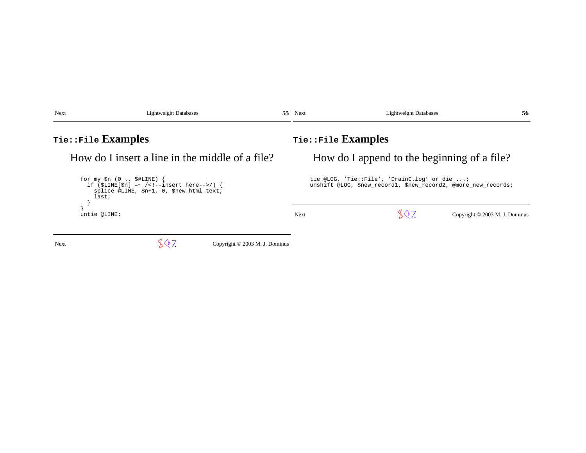| <b>Next</b>                                                                                                                            | <b>Lightweight Databases</b> | 55.                                                                                                            | Next                                        | <b>Lightweight Databases</b> | 56                             |  |
|----------------------------------------------------------------------------------------------------------------------------------------|------------------------------|----------------------------------------------------------------------------------------------------------------|---------------------------------------------|------------------------------|--------------------------------|--|
| Tie::File Examples                                                                                                                     |                              |                                                                                                                | $\texttt{rie::File}$ Examples               |                              |                                |  |
| How do I insert a line in the middle of a file?                                                                                        |                              |                                                                                                                | How do I append to the beginning of a file? |                              |                                |  |
| for my $\sin(0 \ldots \sin(k))$<br>if $(SLINE[Sn] = ~ / < ! -- insert here-->)$ {<br>splice @LINE, \$n+1, 0, \$new_html_text;<br>last; |                              | tie @LOG, 'Tie::File', 'DrainC.log' or die ;<br>unshift @LOG, \$new_record1, \$new_record2, @more_new_records; |                                             |                              |                                |  |
| untie @LINE;                                                                                                                           |                              |                                                                                                                | <b>Next</b>                                 | 807                          | Copyright © 2003 M. J. Dominus |  |
| Next                                                                                                                                   | 807.                         | Copyright © 2003 M. J. Dominus                                                                                 |                                             |                              |                                |  |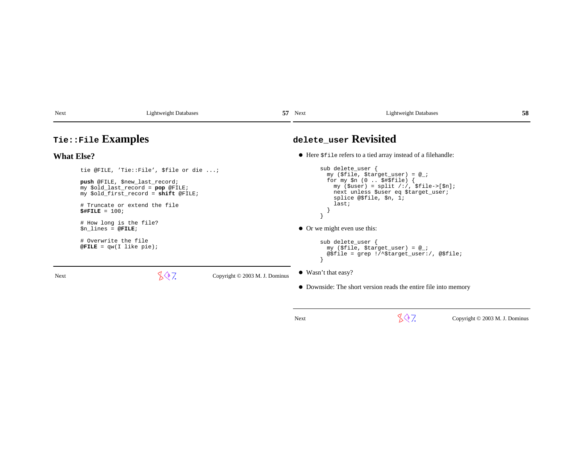| Next | ۹۵۵۰.<br>10 | Nov.<br>1 I VAL | $\alpha$ ntw $\gamma$<br>19hf<br>abases<br>. . | w |
|------|-------------|-----------------|------------------------------------------------|---|
|      |             |                 |                                                |   |

### **Tie::File Examples**

### **What Else?**

Next

tie @FILE, 'Tie::File', \$file or die ...;

**push** @FILE, \$new\_last\_record; my \$old\_last\_record = **pop** @FILE;my \$old\_first\_record = **shift** @FILE;

> # Truncate or extend the file**\$#FILE** = 100;

 # How long is the file?\$n\_lines = **@FILE**;

 # Overwrite the file**@FILE** = qw(I like pie);

 $\sqrt{$}$  7. Copyright © 2003 M. J. Dominus

**delete\_user Revisited**

Here \$file refers to a tied array instead of a filehandle:

```
sub delete user {

 my ($file, $target_user) = @_;
 for my $n (0 .. $#$file) {
 my ($user) = split /:/, $file->[$n]; next unless $user eq $target_user; splice @$file, $n, 1; last; } }\bullet Or we might even use this:
        sub delete_user {
 my ($file, $target_user) = @_;
```

```
 }
```

```
Wasn't that easy?
```
Downside: The short version reads the entire file into memory

@\$file = grep !/^\$target\_user:/, @\$file;

Next

 $\sqrt{$}$ , Copyright © 2003 M. J. Dominus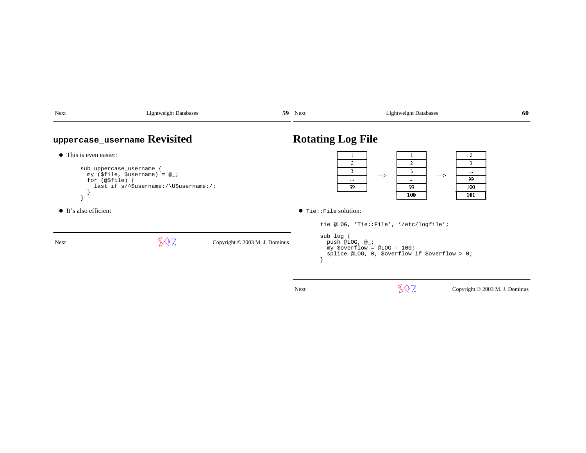| Next                                                                                                                                                                                             | <b>Lightweight Databases</b> |                                | $59$ Next                                                                                                                                  |                                                    | <b>Lightweight Databases</b>                                                            | 60 |
|--------------------------------------------------------------------------------------------------------------------------------------------------------------------------------------------------|------------------------------|--------------------------------|--------------------------------------------------------------------------------------------------------------------------------------------|----------------------------------------------------|-----------------------------------------------------------------------------------------|----|
|                                                                                                                                                                                                  | uppercase_username Revisited |                                | <b>Rotating Log File</b>                                                                                                                   |                                                    |                                                                                         |    |
| • This is even easier:<br>sub uppercase_username {<br>my (\$file, \$username) = $@$ ;<br>for $(\circ$ \$file)<br>last if $s/\text{S}$ username:/\U\$username:/;<br>$\bullet$ It's also efficient |                              | $\bullet$ Tie:: File solution: | 2<br>$\overline{c}$<br>$\overline{2}$<br>3<br>3<br>3.<br><br>$\Rightarrow$<br>$\Rightarrow$<br>99<br><br><br>99<br>99<br>100<br>100<br>101 |                                                    |                                                                                         |    |
| Next                                                                                                                                                                                             | 807.                         | Copyright © 2003 M. J. Dominus | $sub$ $log$ {                                                                                                                              | push @LOG, $@_i$<br>my \$overflow = @LOG - $100$ ; | tie @LOG, 'Tie::File', '/etc/logfile';<br>splice @LOG, 0, \$overflow if \$overflow > 0; |    |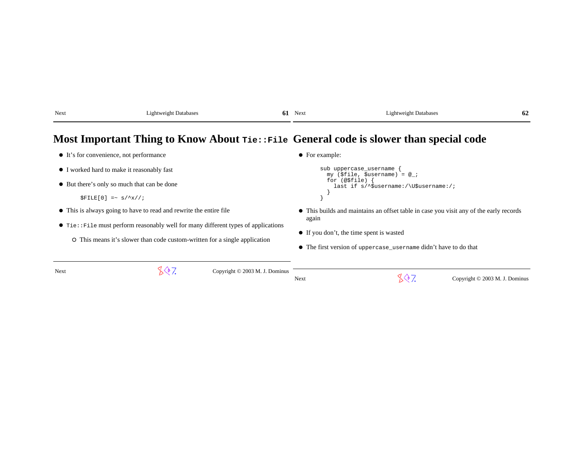| Next | Lightweight Databases | 01 | Next | <b>Lightweight Databases</b> | 62 |
|------|-----------------------|----|------|------------------------------|----|
|      |                       |    |      |                              |    |

### **Most Important Thing to Know About Tie::FileGeneral code is slower than special code**

| • It's for convenience, not performance                            |                                                                                            |                                | $\bullet$ For example:                                                                 |             |                                |  |  |
|--------------------------------------------------------------------|--------------------------------------------------------------------------------------------|--------------------------------|----------------------------------------------------------------------------------------|-------------|--------------------------------|--|--|
|                                                                    | • I worked hard to make it reasonably fast                                                 |                                | sub uppercase_username<br>my (\$file, \$username) = $@$ ;                              |             |                                |  |  |
| • But there's only so much that can be done                        |                                                                                            |                                | for (@\$file)<br>last if $s/\text{S}$ username:/\U\$username:/;                        |             |                                |  |  |
| $SFILE[0]$ =~ $S/\left(\frac{\lambda}{K}\right)$                   |                                                                                            |                                |                                                                                        |             |                                |  |  |
| • This is always going to have to read and rewrite the entire file |                                                                                            |                                | • This builds and maintains an offset table in case you visit any of the early records |             |                                |  |  |
|                                                                    | $\bullet$ Tie:: File must perform reasonably well for many different types of applications |                                |                                                                                        | again       |                                |  |  |
|                                                                    | O This means it's slower than code custom-written for a single application                 |                                | • If you don't, the time spent is wasted                                               |             |                                |  |  |
|                                                                    |                                                                                            |                                | • The first version of uppercase_username didn't have to do that                       |             |                                |  |  |
|                                                                    |                                                                                            |                                |                                                                                        |             |                                |  |  |
| Next                                                               | 807.                                                                                       | Copyright © 2003 M. J. Dominus | Next                                                                                   | $\otimes$ 7 | Copyright © 2003 M. J. Dominus |  |  |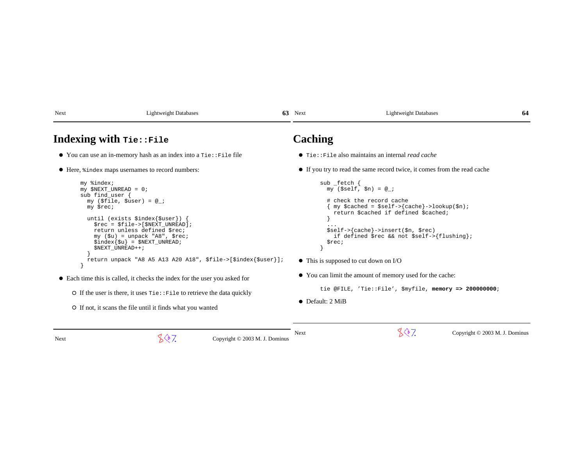| Next                                                                                      | <b>Lightweight Databases</b>                                                                                                                                                                                                                                                                                                                                                                                                                                                                                                                                                                     | 63                             | Next                                                | <b>Lightweight Databases</b>                                                                                                                                                                                                                                                                                                                                                                                         | 64                             |  |  |
|-------------------------------------------------------------------------------------------|--------------------------------------------------------------------------------------------------------------------------------------------------------------------------------------------------------------------------------------------------------------------------------------------------------------------------------------------------------------------------------------------------------------------------------------------------------------------------------------------------------------------------------------------------------------------------------------------------|--------------------------------|-----------------------------------------------------|----------------------------------------------------------------------------------------------------------------------------------------------------------------------------------------------------------------------------------------------------------------------------------------------------------------------------------------------------------------------------------------------------------------------|--------------------------------|--|--|
| Indexing with <b>rie::File</b>                                                            |                                                                                                                                                                                                                                                                                                                                                                                                                                                                                                                                                                                                  |                                | Caching                                             |                                                                                                                                                                                                                                                                                                                                                                                                                      |                                |  |  |
|                                                                                           | $\bullet$ You can use an in-memory hash as an index into a $\text{tie}$ : File file                                                                                                                                                                                                                                                                                                                                                                                                                                                                                                              |                                |                                                     | $\bullet$ Tie::File also maintains an internal <i>read cache</i>                                                                                                                                                                                                                                                                                                                                                     |                                |  |  |
|                                                                                           | • Here, $\frac{1}{2}$ index maps usernames to record numbers:                                                                                                                                                                                                                                                                                                                                                                                                                                                                                                                                    |                                |                                                     | • If you try to read the same record twice, it comes from the read cache                                                                                                                                                                                                                                                                                                                                             |                                |  |  |
| my %index;<br>$my$ \$NEXT_UNREAD = 0;<br>sub find_user {<br>my \$rec;<br>\$NEXT_UNREAD++; | my (\$file, \$user) = $@_{i}$ ;<br>until (exists \$index{\$user}) {<br>$\frac{1}{2}$ rec = $\frac{1}{2}$ file->[ $\frac{1}{2}$ NEXT_UNREAD];<br>return unless defined \$rec;<br>$my$ ( $\xi u$ ) = unpack "A8", $\xi rec$ ;<br>$\frac{1}{2}index{\xi u} = \frac{1}{2}NEXT_UNREAD;$<br>return unpack "A8 A5 A13 A20 A18", \$file->[\$index{\$user}];<br>• Each time this is called, it checks the index for the user you asked for<br>$\circ$ If the user is there, it uses $\text{tie} : \text{File}$ to retrieve the data quickly<br>O If not, it scans the file until it finds what you wanted |                                | $sub$ _fetch {<br>Srec;<br>$\bullet$ Default: 2 MiB | $my$ (\$self, \$n) = $@$ ;<br># check the record cache<br>my \$cached = \$self->{cache}->lookup(\$n);<br>return \$cached if defined \$cached;<br>$$self->{cache}-insert($n, $rec)$<br>if defined \$rec && not \$self->{flushing};<br>$\bullet$ This is supposed to cut down on I/O<br>• You can limit the amount of memory used for the cache:<br>tie @FILE, 'Tie::File', $\frac{1}{2}$ myfile, memory => 200000000; |                                |  |  |
| Next                                                                                      | 807.                                                                                                                                                                                                                                                                                                                                                                                                                                                                                                                                                                                             | Copyright © 2003 M. J. Dominus | Next                                                | 807.                                                                                                                                                                                                                                                                                                                                                                                                                 | Copyright © 2003 M. J. Dominus |  |  |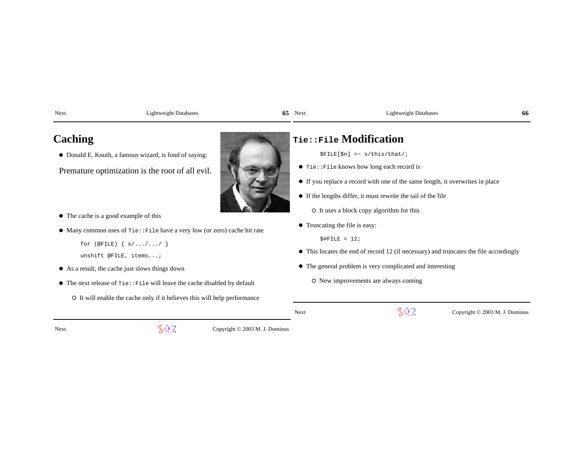Next Lightweight Databases

### **65 65**

### 65 Next Lightweight Databases **66**

### **Caching**

- Donald E. Knuth, a famous wizard, is fond of saying:
- Premature optimization is the root of all evil.
- The cache is a good example of this
- Many common uses of Tie::File have a very low (or zero) cache hit rate

for  $(\text{QFILE}) \{ s / \ldots / \ldots / \}$ 

```
 unshift @FILE, items...;
```
- As a result, the cache just slows things down
- The next release of Tie::File will leave the cache disabled by default
	- It will enable the cache only if it believes this will help performance

## **Tie::File Modification**

 $$FILE[$n] = ~ s/this/that/$$ 

- $\bullet$  Tie::File knows how long each record is
- If you replace a record with one of the same length, it overwrites in place
- If the lengths differ, it must rewrite the tail of the file

 $O$  It uses a block copy algorithm for this

Truncating the file is easy:

 $$$ #FILE = 12;

- This locates the end of record 12 (if necessary) and truncates the file accordingly
- The general problem is very complicated and interesting
	- O New improvements are always coming

Next

 $\sqrt{$}$  7. Copyright © 2003 M. J. Dominus

Next

 $\sqrt{$}$ , Copyright © 2003 M. J. Dominus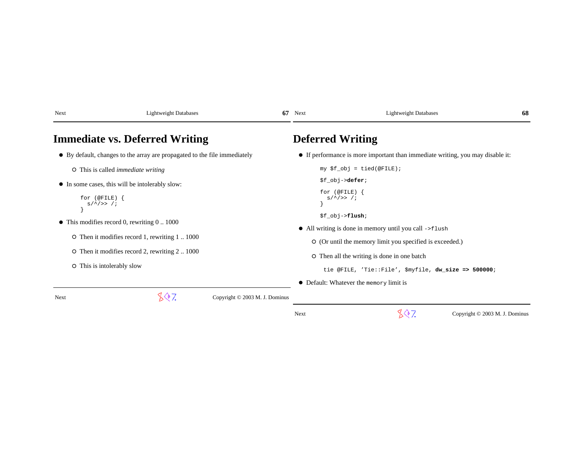| Next                                  | <b>Lightweight Databases</b>                                                                                                                        | 67                             | Next                                                      | <b>Lightweight Databases</b>                                                                                                                                                                                                                                         | 68 |  |  |
|---------------------------------------|-----------------------------------------------------------------------------------------------------------------------------------------------------|--------------------------------|-----------------------------------------------------------|----------------------------------------------------------------------------------------------------------------------------------------------------------------------------------------------------------------------------------------------------------------------|----|--|--|
| <b>Immediate vs. Deferred Writing</b> |                                                                                                                                                     |                                | <b>Deferred Writing</b>                                   |                                                                                                                                                                                                                                                                      |    |  |  |
|                                       | • By default, changes to the array are propagated to the file immediately                                                                           |                                |                                                           | • If performance is more important than immediate writing, you may disable it:                                                                                                                                                                                       |    |  |  |
|                                       | $\circ$ This is called <i>immediate writing</i>                                                                                                     |                                |                                                           | $my$ \$f_obj = tied(@FILE);                                                                                                                                                                                                                                          |    |  |  |
| for $(QFILE)$ {<br>$s/^2 >> 1$        | • In some cases, this will be intolerably slow:                                                                                                     |                                | \$f_obj-> <b>defer;</b><br>for $(QFILE)$ {<br>$s/^2 >> 1$ |                                                                                                                                                                                                                                                                      |    |  |  |
| O This is intolerably slow            | $\bullet$ This modifies record 0, rewriting 0  1000<br>O Then it modifies record 1, rewriting 11000<br>O Then it modifies record 2, rewriting 21000 |                                | $$f_obj->$ flush;                                         | • All writing is done in memory until you call ->flush<br>O (Or until the memory limit you specified is exceeded.)<br>O Then all the writing is done in one batch<br>tie @FILE, 'Tie::File', \$myfile, dw_size => 500000;<br>• Default: Whatever the memory limit is |    |  |  |
| Next                                  | 807.                                                                                                                                                | Copyright © 2003 M. J. Dominus |                                                           |                                                                                                                                                                                                                                                                      |    |  |  |

 $\sqrt[4]{7}$  Copyright © 2003 M. J. Dominus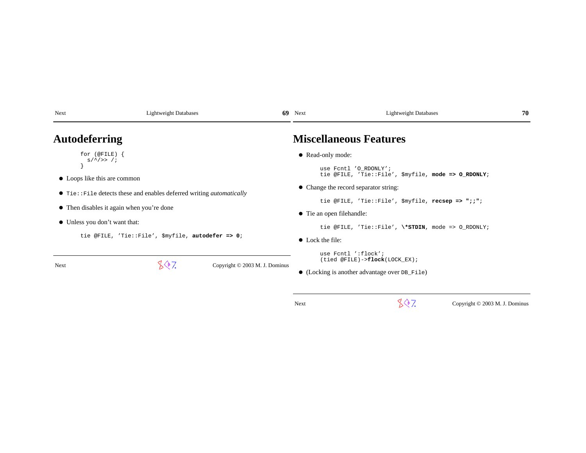| Next                                                                                                                | <b>Lightweight Databases</b>              |  | $69$ Next                                                                        | <b>Lightweight Databases</b>                                                                                               | 70 |  |  |
|---------------------------------------------------------------------------------------------------------------------|-------------------------------------------|--|----------------------------------------------------------------------------------|----------------------------------------------------------------------------------------------------------------------------|----|--|--|
|                                                                                                                     | <b>Autodeferring</b>                      |  |                                                                                  | <b>Miscellaneous Features</b>                                                                                              |    |  |  |
|                                                                                                                     | for $($ @FILE $)$ {<br>$s/^2 >> /;$       |  | • Read-only mode:                                                                | use Fontl 'O RDONLY';<br>tie @FILE, 'Tie::File', \$myfile, mode => 0_RDONLY;                                               |    |  |  |
| • Loops like this are common<br>$\bullet$ Tie: File detects these and enables deferred writing <i>automatically</i> |                                           |  | • Change the record separator string:                                            |                                                                                                                            |    |  |  |
|                                                                                                                     | • Then disables it again when you're done |  | • Tie an open filehandle:                                                        | tie @FILE, 'Tie::File', \$myfile, recsep => ";;";                                                                          |    |  |  |
| • Unless you don't want that:<br>tie @FILE, 'Tie::File', \$myfile, autodefer => 0;                                  |                                           |  | tie @FILE, 'Tie::File', \*STDIN, mode => $0$ RDONLY;<br>$\bullet$ Lock the file: |                                                                                                                            |    |  |  |
| <b>Next</b>                                                                                                         | 807.<br>Copyright © 2003 M. J. Dominus    |  |                                                                                  | use Fontl ':flock';<br>$(tied @FILE) \rightarrow \text{flock}(LOCK\_EX);$<br>• (Locking is another advantage over DB File) |    |  |  |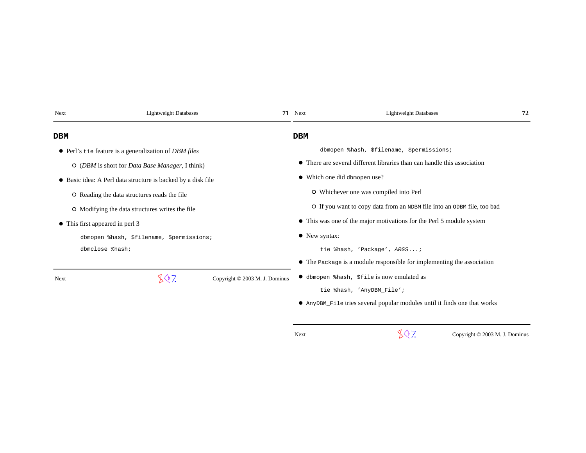| Next | <b>Lightweight Databases</b>                                 | 71 Next    | <b>Lightweight Databases</b>                                              | 72 |
|------|--------------------------------------------------------------|------------|---------------------------------------------------------------------------|----|
| DBM  |                                                              | <b>DBM</b> |                                                                           |    |
|      | • Perl's tie feature is a generalization of <i>DBM files</i> |            | dbmopen %hash, \$filename, \$permissions;                                 |    |
|      | O (DBM is short for Data Base Manager, I think)              |            | • There are several different libraries than can handle this association  |    |
|      | • Basic idea: A Perl data structure is backed by a disk file |            | • Which one did dbmopen use?                                              |    |
|      | O Reading the data structures reads the file                 |            | O Whichever one was compiled into Perl                                    |    |
|      | O Modifying the data structures writes the file              |            | O If you want to copy data from an NDBM file into an ODBM file, too bad   |    |
|      | • This first appeared in perl 3                              |            | • This was one of the major motivations for the Perl 5 module system      |    |
|      | dbmopen %hash, \$filename, \$permissions;                    |            | • New syntax:                                                             |    |
|      | dbmclose %hash;                                              |            | tie %hash, 'Package', ARGS;                                               |    |
|      |                                                              |            | • The Package is a module responsible for implementing the association    |    |
| Next | 807<br>Copyright © 2003 M. J. Dominus                        |            | • dbmopen %hash, \$file is now emulated as                                |    |
|      |                                                              |            | tie %hash, 'AnyDBM_File';                                                 |    |
|      |                                                              |            | • AnyDBM_File tries several popular modules until it finds one that works |    |
|      |                                                              |            |                                                                           |    |

 $887$  Copyright © 2003 M. J. Dominus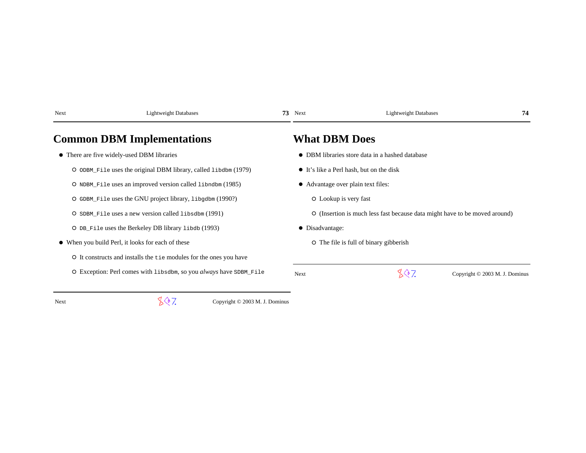| Next | <b>Lightweight Databases</b>                                       | 73 | Next                  | <b>Lightweight Databases</b>                                               | 74                             |
|------|--------------------------------------------------------------------|----|-----------------------|----------------------------------------------------------------------------|--------------------------------|
|      | <b>Common DBM Implementations</b>                                  |    | <b>What DBM Does</b>  |                                                                            |                                |
|      | • There are five widely-used DBM libraries                         |    |                       | • DBM libraries store data in a hashed database                            |                                |
|      | O ODBM_File uses the original DBM library, called libdbm (1979)    |    |                       | • It's like a Perl hash, but on the disk                                   |                                |
|      | O NDBM_File uses an improved version called libndbm (1985)         |    |                       | • Advantage over plain text files:                                         |                                |
|      | O GDBM_File uses the GNU project library, libgdbm (1990?)          |    | O Lookup is very fast |                                                                            |                                |
|      | O SDBM_File uses a new version called libsdbm (1991)               |    |                       | O (Insertion is much less fast because data might have to be moved around) |                                |
|      | O DB_File uses the Berkeley DB library libdb (1993)                |    | • Disadvantage:       |                                                                            |                                |
|      | • When you build Perl, it looks for each of these                  |    |                       | O The file is full of binary gibberish                                     |                                |
|      | O It constructs and installs the tie modules for the ones you have |    |                       |                                                                            |                                |
|      | O Exception: Perl comes with libsdbm, so you always have SDBM_File |    | Next                  | 807                                                                        | Copyright © 2003 M. J. Dominus |

t  $\mathbb{C}^{\mathbb{Q}}$  / Copyright © 2003 M. J. Dominus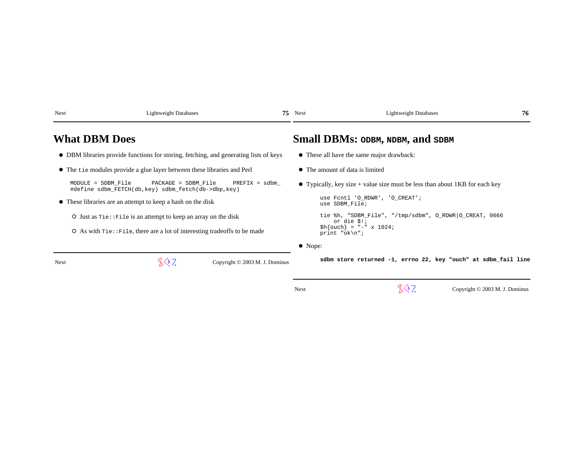| Next                 | <b>Lightweight Databases</b>                                                                                                                                                                                                                                                                                              |                                | $75$ Next                       | <b>Lightweight Databases</b>                                                                                                                                                                                                              | 76 |
|----------------------|---------------------------------------------------------------------------------------------------------------------------------------------------------------------------------------------------------------------------------------------------------------------------------------------------------------------------|--------------------------------|---------------------------------|-------------------------------------------------------------------------------------------------------------------------------------------------------------------------------------------------------------------------------------------|----|
| <b>What DBM Does</b> |                                                                                                                                                                                                                                                                                                                           |                                |                                 | Small DBMs: ODBM, NDBM, and SDBM                                                                                                                                                                                                          |    |
|                      | • DBM libraries provide functions for storing, fetching, and generating lists of keys                                                                                                                                                                                                                                     |                                |                                 | • These all have the same major drawback:                                                                                                                                                                                                 |    |
|                      | • The tie modules provide a glue layer between these libraries and Perl                                                                                                                                                                                                                                                   |                                | • The amount of data is limited |                                                                                                                                                                                                                                           |    |
| MODULE = SDBM File   | PACKAGE = SDBM File<br>#define sdbm_FETCH(db, key) sdbm_fetch(db->dbp, key)<br>• These libraries are an attempt to keep a hash on the disk<br>O Just as $\text{tie} : \text{File}$ is an attempt to keep an array on the disk<br>$\circ$ As with $\text{tie}$ : File, there are a lot of interesting tradeoffs to be made | $PREFIX = sdbm$                | print " $ok\n'i$                | • Typically, key size + value size must be less than about 1KB for each key<br>use Fcntl 'O_RDWR', 'O_CREAT';<br>use SDBM_File;<br>tie %h, "SDBM_File", "/tmp/sdbm", O_RDWR O_CREAT, 0666<br>or die $$!!$<br>$\h{h}$ {ouch} = "-" x 1024; |    |
|                      |                                                                                                                                                                                                                                                                                                                           |                                | $\bullet$ Nope:                 |                                                                                                                                                                                                                                           |    |
| Next                 | LQ 7.                                                                                                                                                                                                                                                                                                                     | Copyright © 2003 M. J. Dominus |                                 | sdbm store returned -1, errno 22, key "ouch" at sdbm fail line                                                                                                                                                                            |    |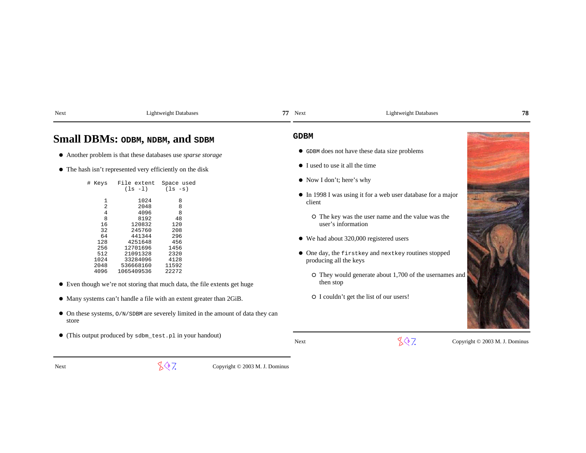| Small DBMs: ODBM, NDBM, and SDBM                                    |                          |                          | <b>GDBM</b>                                                                    |  |
|---------------------------------------------------------------------|--------------------------|--------------------------|--------------------------------------------------------------------------------|--|
| • Another problem is that these databases use <i>sparse storage</i> |                          |                          | • GDBM does not have these data size problems                                  |  |
| $\bullet$ The hash isn't represented very efficiently on the disk   |                          |                          | • I used to use it all the time                                                |  |
| # Keys                                                              | File extent<br>$(ls -l)$ | Space used<br>$(ls - s)$ | $\bullet$ Now I don't; here's why                                              |  |
|                                                                     | 1024                     | 8                        | $\bullet$ In 1998 I was using it for a web user database for a major<br>client |  |
|                                                                     | 2048                     | 8                        |                                                                                |  |
|                                                                     | 4096                     | 8                        |                                                                                |  |
| 8                                                                   | 8192                     | 48                       | O The key was the user name and the value was the                              |  |
| 16                                                                  | 120832                   | 120                      | user's information                                                             |  |
| 32                                                                  | 245760                   | 208                      |                                                                                |  |

- We had about 320,000 registered users
- $\bullet$  One day, the firstkey and nextkey routines stopped producing all the keys
	- They would generate about 1,700 of the usernames andthen stop
	- I couldn't get the list of our users!



 $\sqrt{$}$  7. Copyright © 2003 M. J. Dominus

(This output produced by sdbm\_test.pl in your handout)

64 441344

128 4251648

256 12701696

512 21091328 2320

1024 33284096

2048 536668160

4096 1065409536

store

Next

Next Lightweight Databases

296

456

1456

2320

4128

11592

22272

On these systems, O/N/SDBM are severely limited in the amount of data they can

Even though we're not storing that much data, the file extents get huge

Many systems can't handle a file with an extent greater than 2GiB.

**77**

### 77 Next Lightweight Databases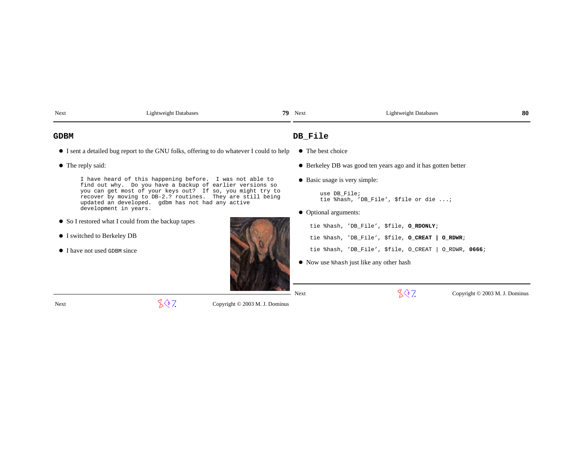| Next                                                                                                                  | <b>Lightweight Databases</b>                                                                                                                                                  | 79.                            | Next                  | <b>Lightweight Databases</b>                                                                              | -80 |  |
|-----------------------------------------------------------------------------------------------------------------------|-------------------------------------------------------------------------------------------------------------------------------------------------------------------------------|--------------------------------|-----------------------|-----------------------------------------------------------------------------------------------------------|-----|--|
| <b>GDBM</b>                                                                                                           |                                                                                                                                                                               |                                |                       | DB File                                                                                                   |     |  |
|                                                                                                                       | • I sent a detailed bug report to the GNU folks, offering to do whatever I could to help                                                                                      |                                |                       | • The best choice                                                                                         |     |  |
|                                                                                                                       | • The reply said:                                                                                                                                                             |                                |                       | • Berkeley DB was good ten years ago and it has gotten better                                             |     |  |
| I have heard of this happening before. I was not able to<br>find out why. Do you have a backup of earlier versions so |                                                                                                                                                                               |                                |                       | • Basic usage is very simple:                                                                             |     |  |
|                                                                                                                       | you can get most of your keys out? If so, you might try to<br>recover by moving to DB-2.? routines. They are still being<br>updated an developed. gdbm has not had any active |                                |                       | use DB File;<br>tie %hash, 'DB File', \$file or die ;                                                     |     |  |
|                                                                                                                       | development in years.                                                                                                                                                         |                                | • Optional arguments: |                                                                                                           |     |  |
|                                                                                                                       | • So I restored what I could from the backup tapes                                                                                                                            |                                |                       | tie %hash, 'DB_File', \$file, O_RDONLY;                                                                   |     |  |
|                                                                                                                       | • I switched to Berkeley DB                                                                                                                                                   |                                |                       | tie %hash, 'DB_File', \$file, O_CREAT   O_RDWR;                                                           |     |  |
|                                                                                                                       | • I have not used GDBM since                                                                                                                                                  |                                |                       | tie %hash, 'DB_File', \$file, O_CREAT   O_RDWR, 0666;                                                     |     |  |
|                                                                                                                       |                                                                                                                                                                               |                                |                       | • Now use $\lambda$ Now use $\lambda$ Now use $\lambda$ Now use $\lambda$ nuclearships and November 2014. |     |  |
|                                                                                                                       |                                                                                                                                                                               |                                |                       |                                                                                                           |     |  |
|                                                                                                                       |                                                                                                                                                                               |                                | <b>Next</b>           | 807<br>Copyright © 2003 M. J. Dominus                                                                     |     |  |
| Next                                                                                                                  | 807.                                                                                                                                                                          | Copyright © 2003 M. J. Dominus |                       |                                                                                                           |     |  |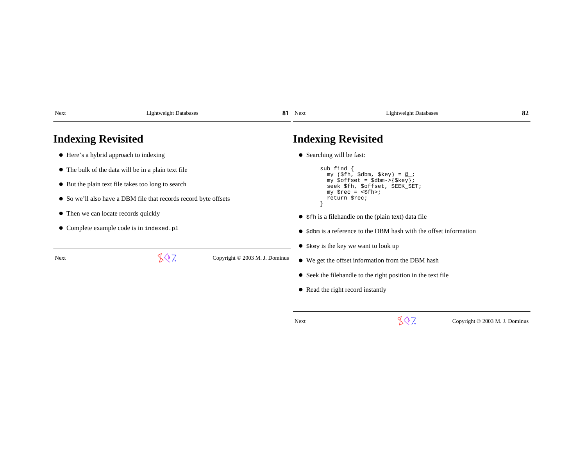| Next                                                             | <b>Lightweight Databases</b>                        |                                | 81 Next                                                                     | <b>Lightweight Databases</b>                                      | -82 |  |  |
|------------------------------------------------------------------|-----------------------------------------------------|--------------------------------|-----------------------------------------------------------------------------|-------------------------------------------------------------------|-----|--|--|
| <b>Indexing Revisited</b>                                        |                                                     |                                | <b>Indexing Revisited</b>                                                   |                                                                   |     |  |  |
|                                                                  | • Here's a hybrid approach to indexing              |                                | • Searching will be fast:                                                   |                                                                   |     |  |  |
|                                                                  | • The bulk of the data will be in a plain text file |                                | $sub$ find $\{$                                                             | my $(\$fh, \$dbm, \$key) = @_{i}$                                 |     |  |  |
|                                                                  | • But the plain text file takes too long to search  |                                | my $\text{Softset} = \text{Sdbm->{Skey};$<br>seek \$fh, \$offset, SEEK SET; |                                                                   |     |  |  |
| • So we'll also have a DBM file that records record byte offsets |                                                     |                                | $my$ $\frac{1}{2}rec = \frac{1}{2}fh$<br>return \$rec;                      |                                                                   |     |  |  |
|                                                                  | • Then we can locate records quickly                |                                | • \$fh is a filehandle on the (plain text) data file                        |                                                                   |     |  |  |
|                                                                  | • Complete example code is in indexed.pl            |                                |                                                                             | • sdbm is a reference to the DBM hash with the offset information |     |  |  |
|                                                                  |                                                     |                                |                                                                             | $\bullet$ \$ key is the key we want to look up                    |     |  |  |
| Next                                                             | 807.                                                | Copyright © 2003 M. J. Dominus |                                                                             | • We get the offset information from the DBM hash                 |     |  |  |
|                                                                  |                                                     |                                |                                                                             | • Seek the filehandle to the right position in the text file      |     |  |  |
|                                                                  |                                                     |                                | • Read the right record instantly                                           |                                                                   |     |  |  |
|                                                                  |                                                     |                                |                                                                             |                                                                   |     |  |  |

 $\sqrt[3]{?}$  Copyright © 2003 M. J. Dominus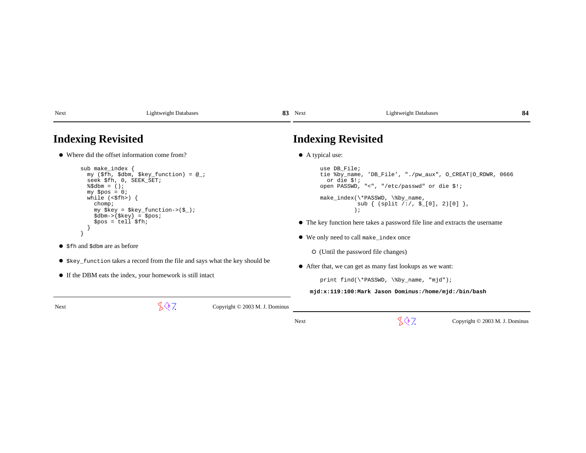| Next | Lightweight Databases | Q1<br>Next<br>. റ. | $\sim$<br>Lightweight Databases | Ω.<br>-84 |
|------|-----------------------|--------------------|---------------------------------|-----------|
|------|-----------------------|--------------------|---------------------------------|-----------|

### **Indexing Revisited**

Where did the offset information come from?

```
 sub make_index {
 my ($fh, $dbm, $key_function) = @_; seek $fh, 0, SEEK_SET;\$5dbm = ();

 my $pos = 0;
 while (<$fh>) { chomp;
 my $key = $key_function->($_);\daggersdbm->\{\$key\} = \$pos;
         $pos = tell $fh; } }
```
- \$fh and \$dbm are as before
- \$key\_function takes a record from the file and says what the key should be
- If the DBM eats the index, your homework is still intact

Next

 $\sqrt{$}$  7. Copyright © 2003 M. J. Dominus

## **Indexing Revisited**

A typical use:

```
 use DB_File;
 tie %by_name, 'DB_File', "./pw_aux", O_CREAT|O_RDWR, 0666 or die $!;
 open PASSWD, "<", "/etc/passwd" or die $!; make_index(\*PASSWD, \%by_name, sub \{ (split / : / , \xi_{\text{I}}[0], 2) [0] \}) is a set of \overline{\phantom{a}}
```
- The key function here takes a password file line and extracts the username
- We only need to call make\_index once
	- (Until the password file changes)
- After that, we can get as many fast lookups as we want:

print find(\\*PASSWD, \%by\_name, "mjd");

 **mjd:x:119:100:Mark Jason Dominus:/home/mjd:/bin/bash**

Next

 $\sqrt{$}$ , Copyright © 2003 M. J. Dominus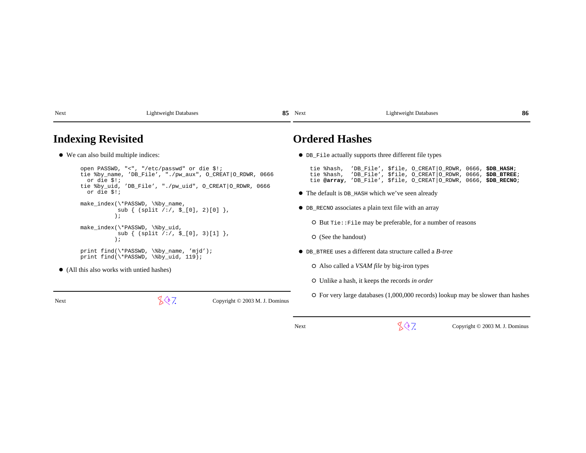Next Lightweight Databases

**85 85** 

### 85 Next Lightweight Databases

### **Indexing Revisited**

We can also build multiple indices:

```
 open PASSWD, "<", "/etc/passwd" or die $!;
 tie %by_name, 'DB_File', "./pw_aux", O_CREAT|O_RDWR, 0666 or die $!;
 tie %by_uid, 'DB_File', "./pw_uid", O_CREAT|O_RDWR, 0666 or die $!; make_index(\*PASSWD, \%by_name,
```

```
sub \{ (split / : / , \xi_{-}[0], 2) [0] \} );
```

```
make_index(\*PASSWD, \%by_uid,
sub \{ (split / : / , \xi_{-}[0], 3) [1] \} );
```

```
print find(\*PASSWD, \%by_name, 'mjd');
print find(\*PASSWD, \%by_uid, 119);
```
(All this also works with untied hashes)

Next

 $\sqrt{$}$ , Copyright © 2003 M. J. Dominus

### **Ordered Hashes**

DB\_File actually supports three different file types

 tie %hash, 'DB\_File', \$file, O\_CREAT|O\_RDWR, 0666, **\$DB\_HASH**; tie %hash, 'DB\_File', \$file, O\_CREAT|O\_RDWR, 0666, **\$DB\_BTREE**;tie **@array**, 'DB\_File', \$file, O\_CREAT|O\_RDWR, 0666, **\$DB\_RECNO**;

- The default is DB\_HASH which we've seen already
- DB\_RECNO associates a plain text file with an array

O But Tie::File may be preferable, for a number of reasons

(See the handout)

DB\_BTREE uses a different data structure called a *B-tree*

Also called a *VSAM file* by big-iron types

Unlike a hash, it keeps the records *in order*

 $\circ$  For very large databases (1,000,000 records) lookup may be slower than hashes

 $\sqrt{$}$  7. Copyright © 2003 M. J. Dominus

**86 86**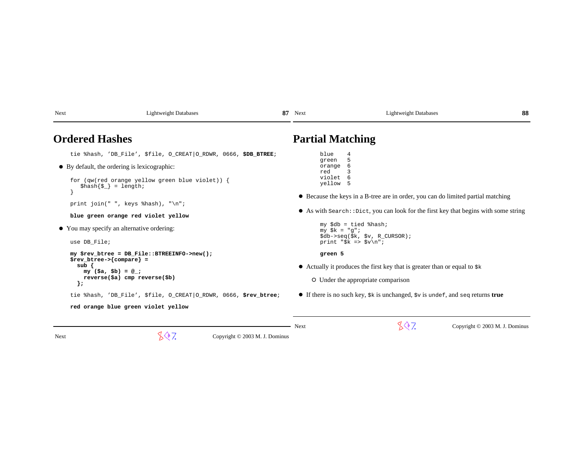| <b>Ordered Hashes</b>                                                                                                                                                                                                                                                                                                                         | <b>Partial Matching</b>                                                                                                                                                                                                                                                                                                                                                            |
|-----------------------------------------------------------------------------------------------------------------------------------------------------------------------------------------------------------------------------------------------------------------------------------------------------------------------------------------------|------------------------------------------------------------------------------------------------------------------------------------------------------------------------------------------------------------------------------------------------------------------------------------------------------------------------------------------------------------------------------------|
| tie %hash, 'DB_File', \$file, O_CREAT O_RDWR, 0666, \$DB_BTREE;<br>$\bullet$ By default, the ordering is lexicographic:<br>for (qw(red orange yellow green blue violet)) {<br>$\{\xi_k\} = \text{length}$<br>print join(" ", keys $\hbox{hash}$ ), "\n";<br>blue green orange red violet yellow<br>• You may specify an alternative ordering: | blue<br>4<br>5<br>green<br>orange<br>6<br>red<br>violet<br>6<br>yellow<br>5<br>• Because the keys in a B-tree are in order, you can do limited partial matching<br>$\bullet$ As with search: : Dict, you can look for the first key that begins with some string<br>$my$ \$db = tied %hash;<br>$my$ $$k = "g";$<br>$\dagger$ db->seq( $\frac{1}{2}k$ , $\frac{1}{2}v$ , R_CURSOR); |
| use DB File;<br>my \$rev btree = DB File::BTREEINFO->new();<br>$\frac{1}{2}$ srev btree->{compare} =<br>sub<br>$my (sa, sb) = @_{i}$<br>reverse(\$a) cmp reverse(\$b)<br>$\}$ ;<br>tie %hash, 'DB File', \$file, O CREAT   O RDWR, 0666, \$rev btree;<br>red orange blue green violet yellow                                                  | print " $$k \Rightarrow $v \n\\ n"$ ;<br>green 5<br>• Actually it produces the first key that is greater than or equal to $\frac{1}{5}$<br>O Under the appropriate comparison<br>• If there is no such key, $\frac{1}{2}k$ is unchanged, $\frac{1}{2}v$ is undef, and seq returns true                                                                                             |
| 807.<br>Copyright © 2003 M. J. Dominus<br><b>Next</b>                                                                                                                                                                                                                                                                                         | 807.<br>Next<br>Copyright © 2003 M. J. Dominus                                                                                                                                                                                                                                                                                                                                     |

87 Next Lightweight Databases

**88**

**87** 

Next Lightweight Databases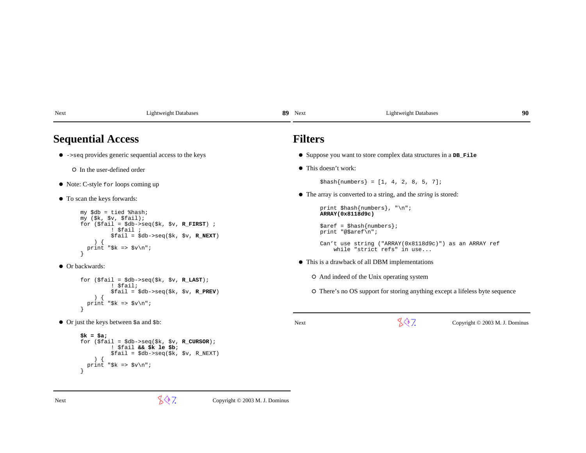| Next                                                                       | Lightweight Databases |  | 89 Next                                                          | <b>Lightweight Databases</b> | 90 |
|----------------------------------------------------------------------------|-----------------------|--|------------------------------------------------------------------|------------------------------|----|
| <b>Sequential Access</b>                                                   |                       |  | <b>Filters</b>                                                   |                              |    |
| $\bullet$ $\rightarrow$ seq provides generic sequential access to the keys |                       |  | • Suppose you want to store complex data structures in a DB_File |                              |    |

In the user-defined order

Next Lightweight Databases

- Note: C-style for loops coming up
- $\bullet$  To scan the keys forwards:

```
 my $db = tied %hash;
 my ($k, $v, $fail);
 for ($fail = $db->seq($k, $v, R_FIRST) ; ! $fail ;
 $fail = $db->seq($k, $v, R_NEXT)\lambda
 print "$k => $v\n"; }
```
 $\bullet$  Or backwards:

```
 for ($fail = $db->seq($k, $v, R_LAST); ! $fail;
 $fail = $db->seq($k, $v, R_PREV)\qquad \qquad ) {

 print "$k => $v\n"; }
```
• Or just the keys between  $\sin$  and  $\sin$ :

```
 $k = $a;
 for ($fail = $db->seq($k, $v, R_CURSOR); ! $fail && $k le $b;
 $fail = $db->seq($k, $v, R_NEXT)\left( \begin{array}{c} 1 \end{array} \right)
 print "$k => $v\n"; }
```
This doesn't work:

 $$hash{numbers} = [1, 4, 2, 8, 5, 7];$ 

The array is converted to a string, and the *string* is stored:

print \$hash{numbers}, "\n";  **ARRAY(0x8118d9c)** 

89 Next Lightweight Databases

 \$aref = \$hash{numbers};print "@\$aref\n";

 Can't use string ("ARRAY(0x8118d9c)") as an ARRAY refwhile "strict refs" in use...

This is a drawback of all DBM implementations

And indeed of the Unix operating system

There's no OS support for storing anything except a lifeless byte sequence

Next

 $\sqrt{$}$  7. Copyright © 2003 M. J. Dominus

 $\sqrt{$}$  7. Copyright © 2003 M. J. Dominus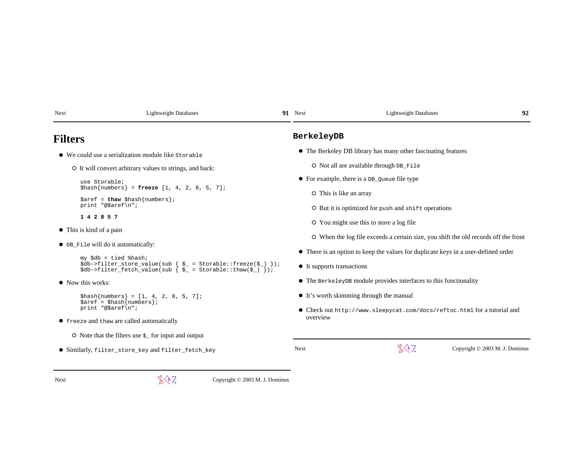| Next | <b>Lightweight Databases</b>                                                                                                                                 |  | 91 Next                    | <b>Lightweight Databases</b>                                                        | 92                             |
|------|--------------------------------------------------------------------------------------------------------------------------------------------------------------|--|----------------------------|-------------------------------------------------------------------------------------|--------------------------------|
|      | <b>Filters</b>                                                                                                                                               |  | BerkeleyDB                 |                                                                                     |                                |
|      | $\bullet$ We could use a serialization module like Storable                                                                                                  |  |                            | • The Berkeley DB library has many other fascinating features                       |                                |
|      | O It will convert arbitrary values to strings, and back:                                                                                                     |  |                            | O Not all are available through DB_File                                             |                                |
|      | use Storable;                                                                                                                                                |  |                            | $\bullet$ For example, there is a DB_Queue file type                                |                                |
|      | \$hash{numbers} = freeze $[1, 4, 2, 8, 5, 7]$ ;                                                                                                              |  |                            | O This is like an array                                                             |                                |
|      | $\text{Saref} = \text{thaw} \, \text{Shash} \{ \text{numbers} \}$<br>print "@\$aref\n";                                                                      |  |                            | O But it is optimized for push and shift operations                                 |                                |
|      | 1 4 2 8 5 7                                                                                                                                                  |  |                            | O You might use this to store a log file                                            |                                |
|      | $\bullet$ This is kind of a pain                                                                                                                             |  |                            | O When the log file exceeds a certain size, you shift the old records off the front |                                |
|      | • DB File will do it automatically:                                                                                                                          |  |                            |                                                                                     |                                |
|      | $my$ \$db = tied %hash;                                                                                                                                      |  |                            | • There is an option to keep the values for duplicate keys in a user-defined order  |                                |
|      | $\dagger$ db->filter_store_value(sub { $\zeta$ = Storable::freeze( $\zeta$ ) });<br>$\dots$ \$db->filter_fetch_value(sub { $\zeta$ = Storable::thaw(\$_) }); |  | • It supports transactions |                                                                                     |                                |
|      | • Now this works:                                                                                                                                            |  |                            | $\bullet$ The Berkeley DB module provides interfaces to this functionality          |                                |
|      | $\{\text{hash}\{\text{numbers}\} = [1, 4, 2, 8, 5, 7];\}$                                                                                                    |  |                            | • It's worth skimming through the manual                                            |                                |
|      | $\{ \text{area} \}$ ;<br>print "@\$aref\n";                                                                                                                  |  |                            | • Check out http://www.sleepycat.com/docs/reftoc.html for a tutorial and            |                                |
|      | • freeze and thaw are called automatically                                                                                                                   |  | overview                   |                                                                                     |                                |
|      | $\circ$ Note that the filters use $\varsigma$ for input and output                                                                                           |  |                            |                                                                                     |                                |
|      | • Similarly, filter_store_key and filter_fetch_key                                                                                                           |  | <b>Next</b>                | 807.                                                                                | Copyright © 2003 M. J. Dominus |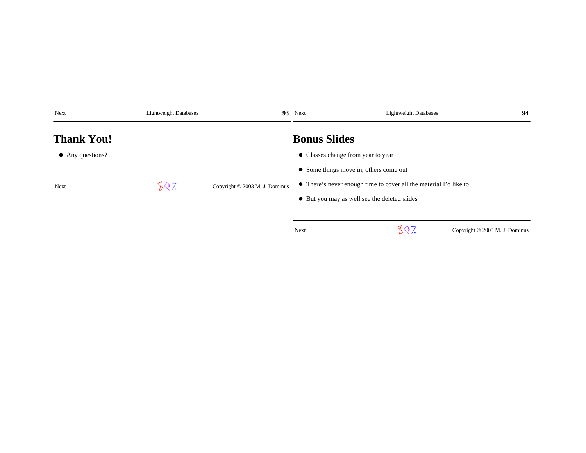| Next                     |      | 93 Next<br><b>Lightweight Databases</b> |                                    | <b>Lightweight Databases</b>                                      | 94 |  |  |
|--------------------------|------|-----------------------------------------|------------------------------------|-------------------------------------------------------------------|----|--|--|
| <b>Thank You!</b>        |      |                                         | <b>Bonus Slides</b>                |                                                                   |    |  |  |
| $\bullet$ Any questions? |      |                                         | • Classes change from year to year |                                                                   |    |  |  |
|                          |      |                                         |                                    | • Some things move in, others come out                            |    |  |  |
| Next                     | 807. | Copyright © 2003 M. J. Dominus          |                                    | • There's never enough time to cover all the material I'd like to |    |  |  |
|                          |      |                                         |                                    | • But you may as well see the deleted slides                      |    |  |  |
|                          |      |                                         |                                    |                                                                   |    |  |  |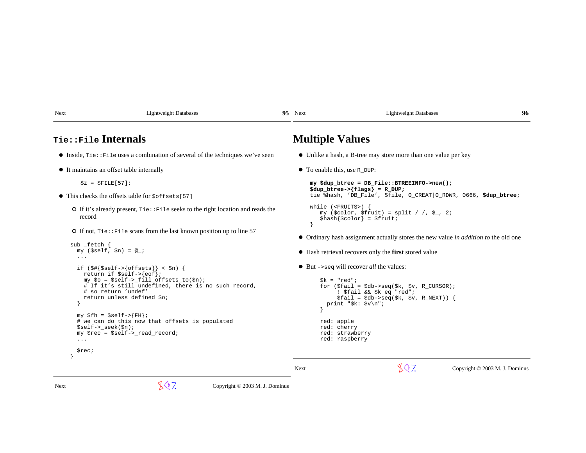| Next                                                                  | <b>Lightweight Databases</b>                                                                                                                                                                                                                                                                                                                                                                                                                                                                     | 95 Next |                                                                                                                                                                         | <b>Lightweight Databases</b>                                                                                                                                                                                           | 96 |
|-----------------------------------------------------------------------|--------------------------------------------------------------------------------------------------------------------------------------------------------------------------------------------------------------------------------------------------------------------------------------------------------------------------------------------------------------------------------------------------------------------------------------------------------------------------------------------------|---------|-------------------------------------------------------------------------------------------------------------------------------------------------------------------------|------------------------------------------------------------------------------------------------------------------------------------------------------------------------------------------------------------------------|----|
| Tie::File Internals                                                   |                                                                                                                                                                                                                                                                                                                                                                                                                                                                                                  |         | <b>Multiple Values</b>                                                                                                                                                  |                                                                                                                                                                                                                        |    |
|                                                                       | $\bullet$ Inside, $\text{rie} : \text{File}$ uses a combination of several of the techniques we've seen                                                                                                                                                                                                                                                                                                                                                                                          |         |                                                                                                                                                                         | • Unlike a hash, a B-tree may store more than one value per key                                                                                                                                                        |    |
| • It maintains an offset table internally                             |                                                                                                                                                                                                                                                                                                                                                                                                                                                                                                  |         | • To enable this, use R DUP:                                                                                                                                            |                                                                                                                                                                                                                        |    |
| $$z = $FILE[57];$                                                     |                                                                                                                                                                                                                                                                                                                                                                                                                                                                                                  |         | my \$dup_btree = DB_File::BTREEINFO->new();<br>$\{\text{dup\_btree-} > \{\text{flags}\} = R_DUP;$<br>tie %hash, 'DB_File', \$file, O_CREAT O_RDWR, 0666, \$dup_btree;   |                                                                                                                                                                                                                        |    |
| • This checks the offsets table for $\zeta$ offsets[57]               |                                                                                                                                                                                                                                                                                                                                                                                                                                                                                                  |         |                                                                                                                                                                         |                                                                                                                                                                                                                        |    |
| record                                                                | $\circ$ If it's already present, $\text{tie} : \text{File seeks}$ to the right location and reads the                                                                                                                                                                                                                                                                                                                                                                                            |         | while $(FRUITS)$ {<br>$\{\text{hash}\}\$ color = $\text{fruit}$ ;                                                                                                       | my (\$color, \$fruit) = split / /, \$ , 2;                                                                                                                                                                             |    |
| O If not, Tie:: File scans from the last known position up to line 57 |                                                                                                                                                                                                                                                                                                                                                                                                                                                                                                  |         | • Ordinary hash assignment actually stores the new value in <i>addition to</i> the old one                                                                              |                                                                                                                                                                                                                        |    |
| $sub$ _fetch {<br>$\cdots$                                            | $my$ (\$self, \$n) = $@_{i}$ ;                                                                                                                                                                                                                                                                                                                                                                                                                                                                   |         |                                                                                                                                                                         | • Hash retrieval recovers only the first stored value                                                                                                                                                                  |    |
| $\ddots$                                                              | if $(\frac{1}{2}$ { $\frac{1}{2}$ { $\frac{1}{2}$ } { $\frac{1}{2}$ { $\frac{1}{2}$ } { $\frac{1}{2}$ } {<br>return if $\text{self} \rightarrow \{ \text{cof} \}$ ;<br>my $\lozenge$ = $\searrow$ self->_fill_offsets_to( $\lozenge$ n);<br># If it's still undefined, there is no such record,<br># so return 'undef'<br>return unless defined \$0;<br>$my$ \$fh = \$self->{FH};<br># we can do this now that offsets is populated<br>$$self-> seek(Sn);$<br>$my$ \$rec = \$self->_read_record; |         | $\bullet$ But ->seq will recover <i>all</i> the values:<br>$sk = "red";$<br>print " $$k: $v \n\\n"$ ;<br>red: apple<br>red: cherry<br>red: strawberry<br>red: raspberry | for $(\frac{\xi}{2}) = \frac{\xi}{2}$ ( $\frac{\xi}{2}$ , $\frac{\xi}{2}$ , $\frac{\xi}{2}$ , $\frac{\xi}{2}$ , $\frac{\xi}{2}$ , $\frac{\xi}{2}$<br>! \$fail && \$k eq "red";<br>$$fail = $db->seq ($k, $v, R_NEXT))$ |    |
| \$rec;                                                                |                                                                                                                                                                                                                                                                                                                                                                                                                                                                                                  |         |                                                                                                                                                                         |                                                                                                                                                                                                                        |    |

 $\sqrt[4]{\sqrt[4]{7}}$  Copyright © 2003 M. J. Dominus

 $\sqrt[4]{\sqrt[4]{7}}$  Copyright © 2003 M. J. Dominus

Next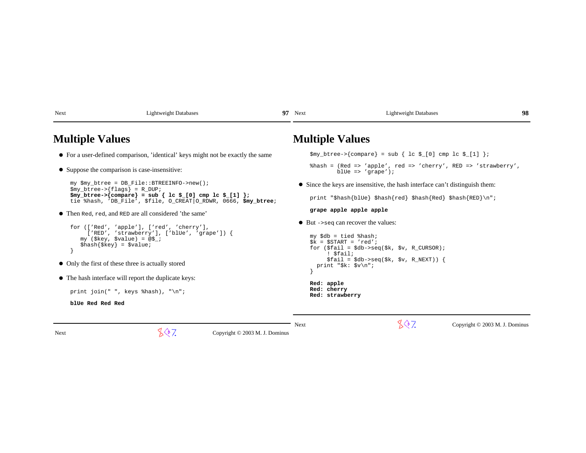| <b>Multiple Values</b>                                                                                                                                                                                                                                                                      | <b>Multiple Values</b>                                                                                                                                                                                                                                                                                               |  |  |
|---------------------------------------------------------------------------------------------------------------------------------------------------------------------------------------------------------------------------------------------------------------------------------------------|----------------------------------------------------------------------------------------------------------------------------------------------------------------------------------------------------------------------------------------------------------------------------------------------------------------------|--|--|
| • For a user-defined comparison, 'identical' keys might not be exactly the same                                                                                                                                                                                                             | $\gamma_{\text{my\_btree}}$ / compare = sub { lc $\gamma_{\text{m}}$ cmp lc $\gamma_{\text{m}}$   ;                                                                                                                                                                                                                  |  |  |
| • Suppose the comparison is case-insensitive:                                                                                                                                                                                                                                               | %hash = (Red => 'apple', red => 'cherry', RED => 'strawberry',<br>blue => $'$ qrape');                                                                                                                                                                                                                               |  |  |
| my \$my_btree = DB_File::BTREEINFO->new();<br>$\text{Smy\_btree-}$ {flags} = R_DUP;                                                                                                                                                                                                         | • Since the keys are insensitive, the hash interface can't distinguish them:                                                                                                                                                                                                                                         |  |  |
| $\text{Smy\_btree->}\{\text{compare}\} = \text{sub} \{ \text{lc } \text{L}[0] \text{cmp } \text{lc } \text{L}[1] \}$<br>tie %hash, 'DB_File', \$file, O_CREAT O_RDWR, 0666, \$my_btree;                                                                                                     | print "\$hash{blUe} \$hash{red} \$hash{Red} \$hash{RED}\n";                                                                                                                                                                                                                                                          |  |  |
| • Then Red, red, and RED are all considered 'the same'                                                                                                                                                                                                                                      | grape apple apple apple                                                                                                                                                                                                                                                                                              |  |  |
| for (['Red', 'apple'], ['red', 'cherry'],<br>$['RED', 'strawberry'], ['blue', 'grape']$ ) {<br>my (\$key, \$value) = $@$j;$<br>$\{\text{hash}\{\text{key}\} = \text{value}\}$<br>• Only the first of these three is actually stored<br>• The hash interface will report the duplicate keys: | $\bullet$ But ->seq can recover the values:<br>$my$ \$db = tied %hash;<br>$$k = $START = 'red';$<br>for $(\frac{\xi}{2} \text{fail} = \frac{\xi}{2} \text{db} - \frac{\xi}{2} \text{eq}(\frac{\xi}{2} k, \frac{\xi}{2} v, R_CURSOR);$<br>! \$fail;<br>$$fail = $db->seq ($k, $v, R_NEXT))$<br>print " $sk: sy\nu$ "; |  |  |
| print join(" ", keys $\hbox{hash}$ ), "\n";                                                                                                                                                                                                                                                 | Red: apple<br>Red: cherry<br>Red: strawberry                                                                                                                                                                                                                                                                         |  |  |
| blue Red Red Red                                                                                                                                                                                                                                                                            |                                                                                                                                                                                                                                                                                                                      |  |  |
|                                                                                                                                                                                                                                                                                             |                                                                                                                                                                                                                                                                                                                      |  |  |

Next Lightweight Databases

 $\sqrt[3]{2}$  Copyright © 2003 M. J. Dominus Next

**8 97** 

97 Next Lightweight Databases

 $\sqrt[4]{\sqrt[4]{7}}$  Copyright © 2003 M. J. Dominus

**98**